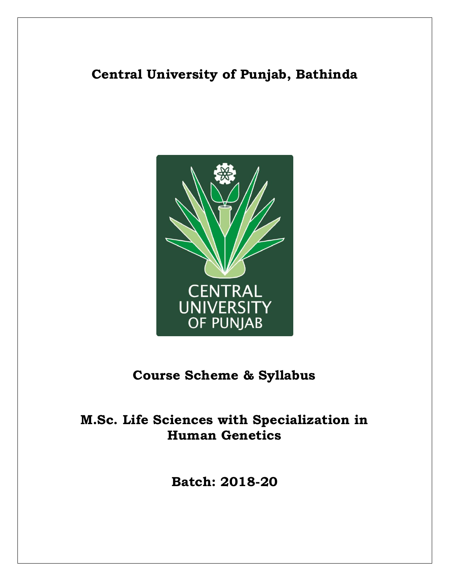# **Central University of Punjab, Bathinda**



# **Course Scheme & Syllabus**

# **M.Sc. Life Sciences with Specialization in Human Genetics**

**Batch: 2018-20**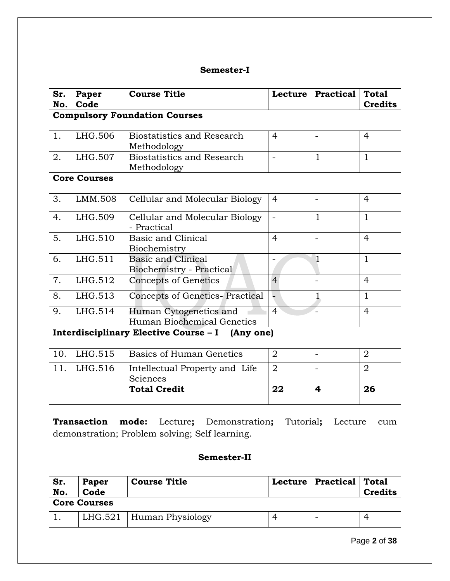# **Semester-I**

| Sr.<br>No.                                      | Paper<br>Code                        | <b>Course Title</b>                                  |                | Lecture   Practical      | <b>Total</b><br><b>Credits</b> |  |  |
|-------------------------------------------------|--------------------------------------|------------------------------------------------------|----------------|--------------------------|--------------------------------|--|--|
|                                                 | <b>Compulsory Foundation Courses</b> |                                                      |                |                          |                                |  |  |
| 1.                                              | LHG.506                              | <b>Biostatistics and Research</b><br>Methodology     | $\overline{4}$ |                          | $\overline{4}$                 |  |  |
| 2.                                              | LHG.507                              | <b>Biostatistics and Research</b><br>Methodology     |                | $\mathbf{1}$             | $\mathbf{1}$                   |  |  |
|                                                 | <b>Core Courses</b>                  |                                                      |                |                          |                                |  |  |
| 3.                                              | LMM.508                              | Cellular and Molecular Biology                       | $\overline{4}$ | $\blacksquare$           | $\overline{4}$                 |  |  |
| 4.                                              | LHG.509                              | Cellular and Molecular Biology<br>- Practical        |                | $\mathbf{1}$             | $\mathbf{1}$                   |  |  |
| 5.                                              | LHG.510                              | <b>Basic and Clinical</b><br>Biochemistry            | $\overline{4}$ |                          | $\overline{4}$                 |  |  |
| 6.                                              | LHG.511                              | Basic and Clinical<br>Biochemistry - Practical       |                | $\mathbf{1}$             | $\mathbf{1}$                   |  |  |
| 7.                                              | LHG.512                              | <b>Concepts of Genetics</b>                          | $\overline{4}$ |                          | $\overline{4}$                 |  |  |
| 8.                                              | LHG.513                              | Concepts of Genetics-Practical                       |                | $\mathbf{1}$             | $\mathbf{1}$                   |  |  |
| 9.                                              | LHG.514                              | Human Cytogenetics and<br>Human Biochemical Genetics | $\overline{4}$ |                          | $\overline{4}$                 |  |  |
| Interdisciplinary Elective Course - I (Any one) |                                      |                                                      |                |                          |                                |  |  |
| 10.                                             | LHG.515                              | <b>Basics of Human Genetics</b>                      | $\overline{2}$ | $\overline{\phantom{0}}$ | $\overline{2}$                 |  |  |
| 11.                                             | LHG.516                              | Intellectual Property and Life<br>Sciences           | $\overline{2}$ |                          | $\overline{2}$                 |  |  |
|                                                 |                                      | <b>Total Credit</b>                                  | 22             | 4                        | 26                             |  |  |

**Transaction mode:** Lecture**;** Demonstration**;** Tutorial**;** Lecture cum demonstration; Problem solving; Self learning.

# **Semester-II**

| Sr.<br>Paper<br>Code<br>No. |  | <b>Course Title</b>        |  | Lecture   Practical   Total | <b>Credits</b> |
|-----------------------------|--|----------------------------|--|-----------------------------|----------------|
| <b>Core Courses</b>         |  |                            |  |                             |                |
|                             |  | LHG.521   Human Physiology |  |                             |                |

Page **2** of **38**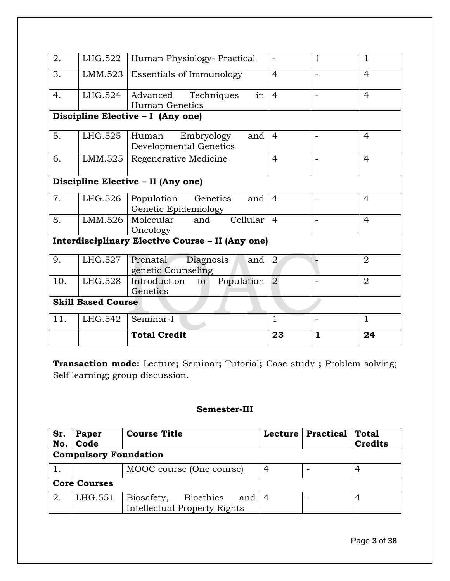| 2.                                               | LHG.522 | Human Physiology- Practical                           |                | $\mathbf{1}$             | $\mathbf{1}$   |
|--------------------------------------------------|---------|-------------------------------------------------------|----------------|--------------------------|----------------|
| 3.                                               | LMM.523 | <b>Essentials of Immunology</b>                       | $\overline{4}$ |                          | $\overline{4}$ |
| 4.                                               | LHG.524 | in<br>Advanced<br>Techniques<br>Human Genetics        | $\overline{4}$ | $\overline{\phantom{a}}$ | $\overline{4}$ |
|                                                  |         | Discipline Elective - I (Any one)                     |                |                          |                |
| 5.                                               | LHG.525 | Embryology<br>Human<br>and<br>Developmental Genetics  | $\overline{4}$ |                          | $\overline{4}$ |
| 6.                                               | LMM.525 | Regenerative Medicine                                 | $\overline{4}$ | $\blacksquare$           | $\overline{4}$ |
| Discipline Elective - II (Any one)               |         |                                                       |                |                          |                |
| 7.                                               | LHG.526 | Genetics<br>Population<br>and<br>Genetic Epidemiology | $\overline{4}$ | $\blacksquare$           | 4              |
| 8.                                               | LMM.526 | Molecular<br>Cellular<br>and<br>Oncology              | $\overline{4}$ |                          | $\overline{4}$ |
| Interdisciplinary Elective Course - II (Any one) |         |                                                       |                |                          |                |
| 9.                                               | LHG.527 | Prenatal<br>Diagnosis<br>and<br>genetic Counseling    | $\overline{2}$ |                          | $\overline{2}$ |
| 10.                                              | LHG.528 | Introduction<br>Population<br>to<br>Genetics          | $\overline{2}$ |                          | $\overline{2}$ |
| <b>Skill Based Course</b>                        |         |                                                       |                |                          |                |
| 11.                                              | LHG.542 | Seminar-I                                             | $\mathbf{1}$   |                          | $\mathbf{1}$   |
|                                                  |         | <b>Total Credit</b>                                   | 23             | $\mathbf{1}$             | 24             |

**Transaction mode:** Lecture**;** Seminar**;** Tutorial**;** Case study **;** Problem solving; Self learning; group discussion.

# **Semester-III**

| Sr.                 | Paper<br>Code                | <b>Course Title</b>                                                   | Lecture | Practical   Total | <b>Credits</b> |
|---------------------|------------------------------|-----------------------------------------------------------------------|---------|-------------------|----------------|
| No.                 | <b>Compulsory Foundation</b> |                                                                       |         |                   |                |
|                     |                              |                                                                       |         |                   |                |
|                     |                              | MOOC course (One course)                                              | 4       |                   |                |
| <b>Core Courses</b> |                              |                                                                       |         |                   |                |
| 2.                  | LHG.551                      | Biosafety,<br>Bioethics<br>and<br><b>Intellectual Property Rights</b> | 4       |                   | 4              |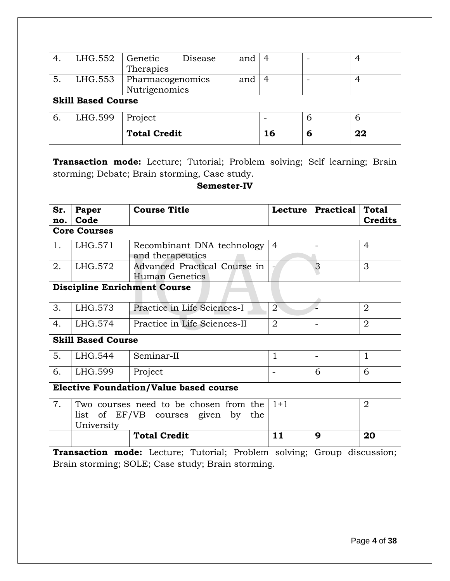|                           | LHG.552 | Genetic                 | Disease       | and | 4  |   | 4  |
|---------------------------|---------|-------------------------|---------------|-----|----|---|----|
|                           |         | Therapies               |               |     |    |   |    |
| 5.                        | LHG.553 | Pharmacogenomics<br>and |               | 4   |    | 4 |    |
|                           |         |                         | Nutrigenomics |     |    |   |    |
| <b>Skill Based Course</b> |         |                         |               |     |    |   |    |
|                           |         |                         |               |     |    |   |    |
| 6.                        | LHG.599 | Project                 |               |     |    |   | 6  |
|                           |         | <b>Total Credit</b>     |               |     | 16 | 6 | 22 |

**Transaction mode:** Lecture; Tutorial; Problem solving; Self learning; Brain storming; Debate; Brain storming, Case study.

### **Semester-IV**

| Sr.<br>no.                                    | Paper<br>Code                       | <b>Course Title</b>                                                             |                | Lecture   Practical | <b>Total</b><br><b>Credits</b> |  |  |
|-----------------------------------------------|-------------------------------------|---------------------------------------------------------------------------------|----------------|---------------------|--------------------------------|--|--|
|                                               | <b>Core Courses</b>                 |                                                                                 |                |                     |                                |  |  |
| 1.                                            | LHG.571                             | Recombinant DNA technology<br>and therapeutics                                  | 4              |                     | 4                              |  |  |
| 2.                                            | LHG.572                             | Advanced Practical Course in<br><b>Human Genetics</b>                           |                | 3                   | 3                              |  |  |
|                                               | <b>Discipline Enrichment Course</b> |                                                                                 |                |                     |                                |  |  |
| 3.                                            | LHG.573                             | Practice in Life Sciences-I                                                     | $\overline{2}$ |                     | $\overline{2}$                 |  |  |
| 4.                                            | LHG.574                             | Practice in Life Sciences-II                                                    | $\overline{2}$ |                     | $\overline{2}$                 |  |  |
|                                               | <b>Skill Based Course</b>           |                                                                                 |                |                     |                                |  |  |
| 5.                                            | LHG.544                             | Seminar-II                                                                      | 1              |                     | $\mathbf 1$                    |  |  |
| 6.                                            | LHG.599                             | Project                                                                         |                | 6                   | 6                              |  |  |
| <b>Elective Foundation/Value based course</b> |                                     |                                                                                 |                |                     |                                |  |  |
| 7.                                            | University                          | Two courses need to be chosen from the<br>list of EF/VB courses given by<br>the | $1 + 1$        |                     | $\overline{2}$                 |  |  |
|                                               |                                     | <b>Total Credit</b>                                                             | 11             | 9                   | 20                             |  |  |

**Transaction mode:** Lecture; Tutorial; Problem solving; Group discussion; Brain storming; SOLE; Case study; Brain storming.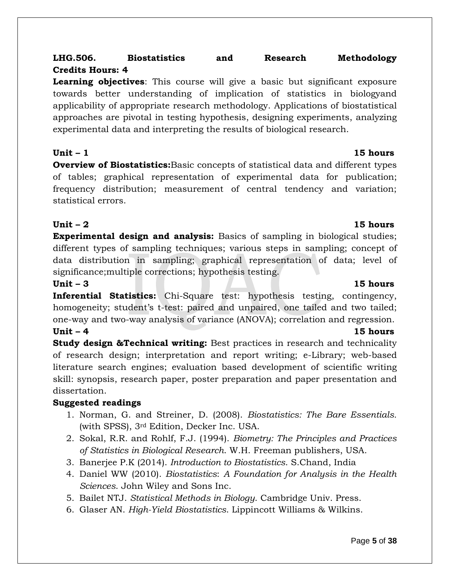# **LHG.506. Biostatistics and Research Methodology Credits Hours: 4**

**Learning objectives**: This course will give a basic but significant exposure towards better understanding of implication of statistics in biologyand applicability of appropriate research methodology. Applications of biostatistical approaches are pivotal in testing hypothesis, designing experiments, analyzing experimental data and interpreting the results of biological research.

**Overview of Biostatistics:**Basic concepts of statistical data and different types of tables; graphical representation of experimental data for publication; frequency distribution; measurement of central tendency and variation; statistical errors.

# **Unit – 2 15 hours**

**Experimental design and analysis:** Basics of sampling in biological studies; different types of sampling techniques; various steps in sampling; concept of data distribution in sampling; graphical representation of data; level of significance;multiple corrections; hypothesis testing.

# **Unit – 3** 15 hours **15 hours**

**Inferential Statistics:** Chi-Square test: hypothesis testing, contingency, homogeneity; student's t-test: paired and unpaired, one tailed and two tailed; one-way and two-way analysis of variance (ANOVA); correlation and regression. **Unit – 4** 15 hours

**Study design &Technical writing:** Best practices in research and technicality of research design; interpretation and report writing; e-Library; web-based literature search engines; evaluation based development of scientific writing skill: synopsis, research paper, poster preparation and paper presentation and dissertation.

# **Suggested readings**

- 1. Norman, G. and Streiner, D. (2008). *Biostatistics: The Bare Essentials.* (with SPSS), 3rd Edition, Decker Inc. USA.
- 2. Sokal, R.R. and Rohlf, F.J. (1994). *Biometry: The Principles and Practices of Statistics in Biological Research*. W.H. Freeman publishers, USA.
- 3. Banerjee P.K (2014). *Introduction to Biostatistics*. S.Chand, India
- 4. Daniel WW (2010). *Biostatistics*: *A Foundation for Analysis in the Health Sciences*. John Wiley and Sons Inc.
- 5. Bailet NTJ. *Statistical Methods in Biology*. Cambridge Univ. Press.
- 6. Glaser AN. *High-Yield Biostatistics*. Lippincott Williams & Wilkins.

## **Unit – 1 15 hours**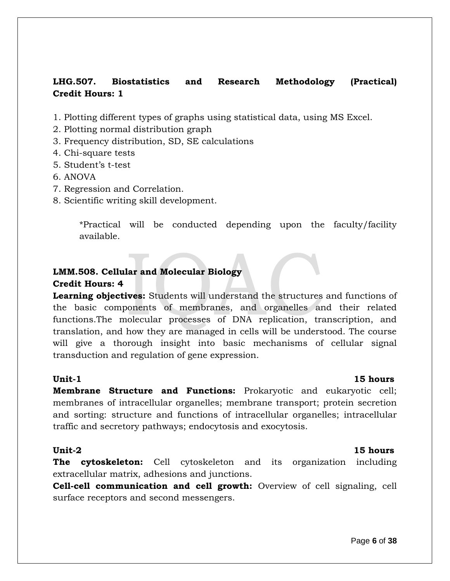# **LHG.507. Biostatistics and Research Methodology (Practical) Credit Hours: 1**

1. Plotting different types of graphs using statistical data, using MS Excel.

- 2. Plotting normal distribution graph
- 3. Frequency distribution, SD, SE calculations
- 4. Chi-square tests
- 5. Student's t-test
- 6. ANOVA
- 7. Regression and Correlation.
- 8. Scientific writing skill development.

\*Practical will be conducted depending upon the faculty/facility available.

# **LMM.508. Cellular and Molecular Biology Credit Hours: 4**

**Learning objectives:** Students will understand the structures and functions of the basic components of membranes, and organelles and their related functions.The molecular processes of DNA replication, transcription, and translation, and how they are managed in cells will be understood. The course will give a thorough insight into basic mechanisms of cellular signal transduction and regulation of gene expression.

**Membrane Structure and Functions:** Prokaryotic and eukaryotic cell; membranes of intracellular organelles; membrane transport; protein secretion and sorting: structure and functions of intracellular organelles; intracellular traffic and secretory pathways; endocytosis and exocytosis.

### **Unit-2 15 hours**

**The cytoskeleton:** Cell cytoskeleton and its organization including extracellular matrix, adhesions and junctions.

**Cell-cell communication and cell growth:** Overview of cell signaling, cell surface receptors and second messengers.

# **Unit-1 15 hours**

### Page **6** of **38**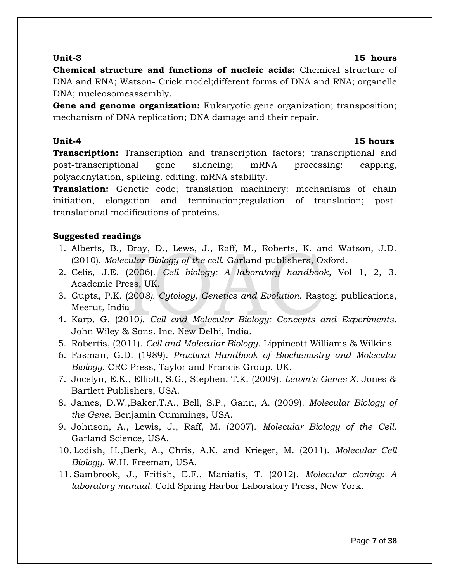### **Unit-3 15 hours**

**Chemical structure and functions of nucleic acids:** Chemical structure of DNA and RNA; Watson- Crick model;different forms of DNA and RNA; organelle DNA; nucleosomeassembly.

**Gene and genome organization:** Eukaryotic gene organization; transposition; mechanism of DNA replication; DNA damage and their repair.

### **Unit-4 15 hours**

**Transcription:** Transcription and transcription factors; transcriptional and post-transcriptional gene silencing; mRNA processing: capping, polyadenylation, splicing, editing, mRNA stability.

**Translation:** Genetic code; translation machinery: mechanisms of chain initiation, elongation and termination;regulation of translation; posttranslational modifications of proteins.

### **Suggested readings**

- 1. Alberts, B., Bray, D., Lews, J., Raff, M., Roberts, K. and Watson, J.D. (2010). *Molecular Biology of the cell*. Garland publishers, Oxford.
- 2. Celis, J.E. (2006). *Cell biology: A laboratory handbook*, Vol 1, 2, 3. Academic Press, UK.
- 3. Gupta, P.K. (200*8). Cytology, Genetics and Evolution*. Rastogi publications, Meerut, India
- 4. Karp, G. (2010*). Cell and Molecular Biology: Concepts and Experiments*. John Wiley & Sons. Inc. New Delhi, India.
- 5. Robertis, (2011). *Cell and Molecular Biology*. Lippincott Williams & Wilkins
- 6. Fasman, G.D. (1989). *Practical Handbook of Biochemistry and Molecular Biology*. CRC Press, Taylor and Francis Group, UK.
- 7. Jocelyn, E.K., Elliott, S.G., Stephen, T.K. (2009). *Lewin's Genes X.* Jones & Bartlett Publishers, USA.
- 8. James, D.W.,Baker,T.A., Bell, S.P., Gann, A. (2009). *Molecular Biology of the Gene*. Benjamin Cummings, USA.
- 9. Johnson, A., Lewis, J., Raff, M. (2007). *Molecular Biology of the Cell*. Garland Science, USA.
- 10. [Lodish,](http://www.amazon.com/Harvey-Lodish/e/B000APJECU/ref=sr_ntt_srch_lnk_1?qid=1311422122&sr=1-1) [H.](http://www.amazon.com/Harvey-Lodish/e/B000APJECU/ref=sr_ntt_srch_lnk_1?qid=1311422122&sr=1-1),Berk, A., Chris, A.K. and Krieger, M. (2011). *Molecular Cell Biology*. W.H. Freeman, USA.
- 11. Sambrook, J., Fritish, E.F., Maniatis, T. (2012). *Molecular cloning: A laboratory manual*. Cold Spring Harbor Laboratory Press, New York.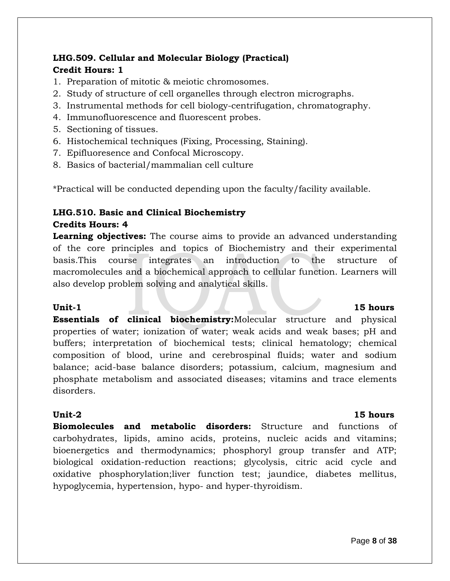# **LHG.509. Cellular and Molecular Biology (Practical) Credit Hours: 1**

- 1. Preparation of mitotic & meiotic chromosomes.
- 2. Study of structure of cell organelles through electron micrographs.
- 3. Instrumental methods for cell biology-centrifugation, chromatography.
- 4. Immunofluorescence and fluorescent probes.
- 5. Sectioning of tissues.
- 6. Histochemical techniques (Fixing, Processing, Staining).
- 7. Epifluoresence and Confocal Microscopy.
- 8. Basics of bacterial/mammalian cell culture

\*Practical will be conducted depending upon the faculty/facility available.

# **LHG.510. Basic and Clinical Biochemistry Credits Hours: 4**

**Learning objectives:** The course aims to provide an advanced understanding of the core principles and topics of Biochemistry and their experimental basis.This course integrates an introduction to the structure of macromolecules and a biochemical approach to cellular function. Learners will also develop problem solving and analytical skills.

### Unit-1 15 hours

**Essentials of clinical biochemistry:**Molecular structure and physical properties of water; ionization of water; weak acids and weak bases; pH and buffers; interpretation of biochemical tests; clinical hematology; chemical composition of blood, urine and cerebrospinal fluids; water and sodium balance; acid-base balance disorders; potassium, calcium, magnesium and phosphate metabolism and associated diseases; vitamins and trace elements disorders.

### **Unit-2 15 hours**

**Biomolecules and metabolic disorders:** Structure and functions of carbohydrates, lipids, amino acids, proteins, nucleic acids and vitamins; bioenergetics and thermodynamics; phosphoryl group transfer and ATP; biological oxidation-reduction reactions; glycolysis, citric acid cycle and oxidative phosphorylation;liver function test; jaundice, diabetes mellitus, hypoglycemia, hypertension, hypo- and hyper-thyroidism.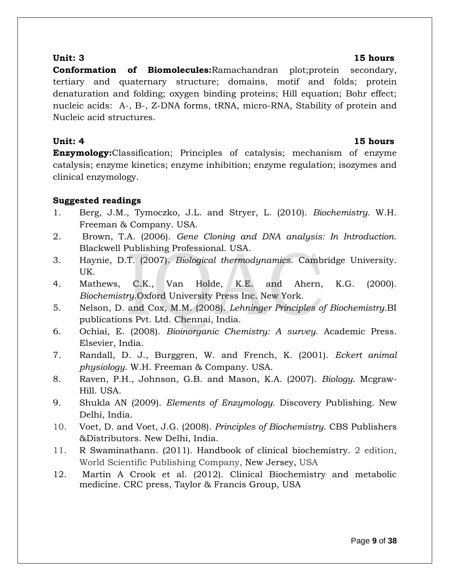### **Unit: 3 15 hours**

**Conformation of Biomolecules:**Ramachandran plot;protein secondary, tertiary and quaternary structure; domains, motif and folds; protein denaturation and folding; oxygen binding proteins; Hill equation; Bohr effect; nucleic acids: A-, B-, Z-DNA forms, tRNA, micro-RNA, Stability of protein and Nucleic acid structures.

### **Unit: 4** 15 hours

**Enzymology:**Classification; Principles of catalysis; mechanism of enzyme catalysis; enzyme kinetics; enzyme inhibition; enzyme regulation; isozymes and clinical enzymology.

# **Suggested readings**

- 1. Berg, J.M., Tymoczko, J.L. and Stryer, L. (2010). *Biochemistry.* W.H. Freeman & Company. USA.
- 2. Brown, T.A. (2006). *Gene Cloning and DNA analysis: In Introduction*. Blackwell Publishing Professional. USA.
- 3. Haynie, D.T. (2007). *Biological thermodynamics*. Cambridge University. UK.
- 4. Mathews, C.K., Van Holde, K.E. and Ahern, K.G. (2000). *Biochemistry*.Oxford University Press Inc. New York.
- 5. Nelson, D. and Cox, M.M. (2008). *Lehninger Principles of Biochemistry*.BI publications Pvt. Ltd. Chennai, India.
- 6. Ochiai, E. (2008). *Bioinorganic Chemistry: A survey.* Academic Press. Elsevier, India.
- 7. Randall, D. J., Burggren, W. and French, K. (2001). *Eckert animal physiology*. W.H. Freeman & Company. USA.
- 8. Raven, P.H., Johnson, G.B. and Mason, K.A. (2007). *Biology*. Mcgraw-Hill. USA.
- 9. Shukla AN (2009). *Elements of Enzymology.* Discovery Publishing. New Delhi, India.
- 10. Voet, D. and Voet, J.G. (2008). *Principles of Biochemistry*. CBS Publishers &Distributors. New Delhi, India.
- 11. R Swaminathann. (2011). Handbook of clinical biochemistry. 2 edition, World Scientific Publishing Company, New Jersey, USA
- 12. Martin A Crook et al. (2012). Clinical Biochemistry and metabolic medicine. CRC press, Taylor & Francis Group, USA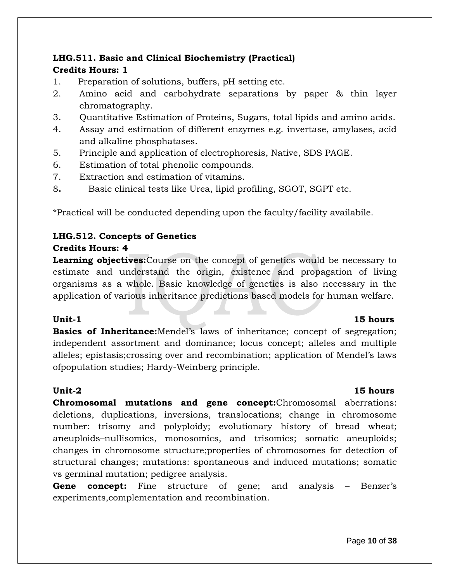# **LHG.511. Basic and Clinical Biochemistry (Practical) Credits Hours: 1**

- 1. Preparation of solutions, buffers, pH setting etc.
- 2. Amino acid and carbohydrate separations by paper & thin layer chromatography.
- 3. Quantitative Estimation of Proteins, Sugars, total lipids and amino acids.
- 4. Assay and estimation of different enzymes e.g. invertase, amylases, acid and alkaline phosphatases.
- 5. Principle and application of electrophoresis, Native, SDS PAGE.
- 6. Estimation of total phenolic compounds.
- 7. Extraction and estimation of vitamins.
- 8**.** Basic clinical tests like Urea, lipid profiling, SGOT, SGPT etc.

\*Practical will be conducted depending upon the faculty/facility availabile.

## **LHG.512. Concepts of Genetics**

### **Credits Hours: 4**

**Learning objectives:**Course on the concept of genetics would be necessary to estimate and understand the origin, existence and propagation of living organisms as a whole. Basic knowledge of genetics is also necessary in the application of various inheritance predictions based models for human welfare.

**Basics of Inheritance:**Mendel's laws of inheritance; concept of segregation; independent assortment and dominance; locus concept; alleles and multiple alleles; epistasis;crossing over and recombination; application of Mendel's laws ofpopulation studies; Hardy-Weinberg principle.

### **Unit-2 15 hours**

**Chromosomal mutations and gene concept:**Chromosomal aberrations: deletions, duplications, inversions, translocations; change in chromosome number: trisomy and polyploidy; evolutionary history of bread wheat; aneuploids–nullisomics, monosomics, and trisomics; somatic aneuploids; changes in chromosome structure;properties of chromosomes for detection of structural changes; mutations: spontaneous and induced mutations; somatic vs germinal mutation; pedigree analysis.

**Gene concept:** Fine structure of gene; and analysis – Benzer's experiments,complementation and recombination.

# **Unit-1** 15 hours

### Page **10** of **38**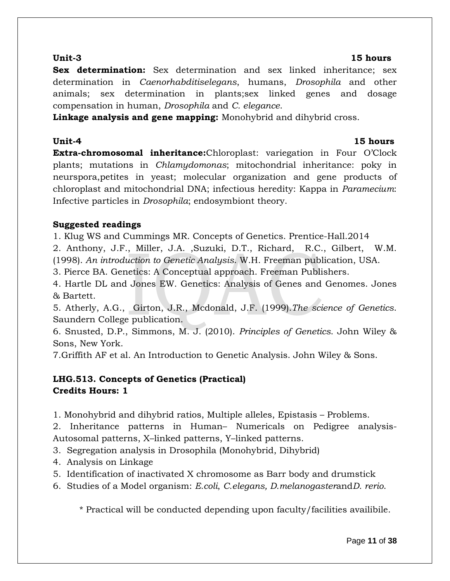### **Unit-3 15 hours**

**Sex determination:** Sex determination and sex linked inheritance; sex determination in *Caenorhabditiselegans*, humans, *Drosophila* and other animals; sex determination in plants;sex linked genes and dosage compensation in human, *Drosophila* and *C. elegance*.

**Linkage analysis and gene mapping:** Monohybrid and dihybrid cross.

# **Unit-4 15 hours**

**Extra-chromosomal inheritance:**Chloroplast: variegation in Four O'Clock plants; mutations in *Chlamydomonas*; mitochondrial inheritance: poky in neurspora,petites in yeast; molecular organization and gene products of chloroplast and mitochondrial DNA; infectious heredity: Kappa in *Paramecium*: Infective particles in *Drosophila*; endosymbiont theory.

# **Suggested readings**

1. Klug WS and Cummings MR. Concepts of Genetics. Prentice-Hall.2014

2. Anthony, J.F., Miller, J.A. ,Suzuki, D.T., Richard, R.C., Gilbert, W.M. (1998). *An introduction to Genetic Analysis*. W.H. Freeman publication, USA.

3. Pierce BA. Genetics: A Conceptual approach. Freeman Publishers.

4. Hartle DL and Jones EW. Genetics: Analysis of Genes and Genomes. Jones & Bartett.

5. Atherly, A.G., Girton, J.R., Mcdonald, J.F. (1999).*The science of Genetics*. Saundern College publication.

6. Snusted, D.P., Simmons, M. J. (2010). *Principles of Genetics*. John Wiley & Sons, New York.

7.Griffith AF et al. An Introduction to Genetic Analysis. John Wiley & Sons.

# **LHG.513. Concepts of Genetics (Practical) Credits Hours: 1**

1. Monohybrid and dihybrid ratios, Multiple alleles, Epistasis – Problems.

2. Inheritance patterns in Human– Numericals on Pedigree analysis-Autosomal patterns, X–linked patterns, Y–linked patterns.

- 3. Segregation analysis in Drosophila (Monohybrid, Dihybrid)
- 4. Analysis on Linkage
- 5. Identification of inactivated X chromosome as Barr body and drumstick
- 6. Studies of a Model organism: *E.coli*, *C.elegans, D.melanogaster*and*D. rerio*.

\* Practical will be conducted depending upon faculty/facilities availibile.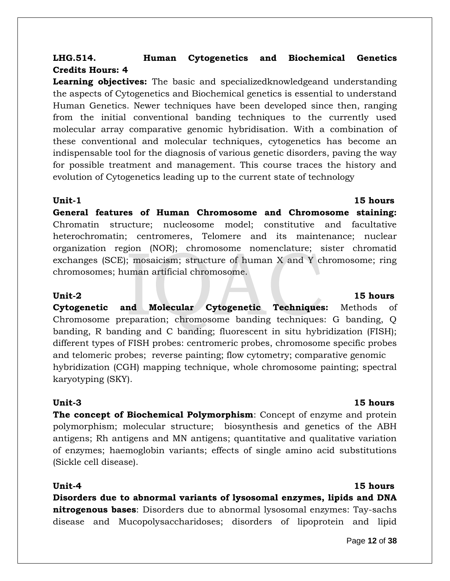# **LHG.514. Human Cytogenetics and Biochemical Genetics Credits Hours: 4**

**Learning objectives:** The basic and specializedknowledgeand understanding the aspects of Cytogenetics and Biochemical genetics is essential to understand Human Genetics. Newer techniques have been developed since then, ranging from the initial conventional banding techniques to the currently used molecular array comparative genomic hybridisation. With a combination of these conventional and molecular techniques, cytogenetics has become an indispensable tool for the diagnosis of various genetic disorders, paving the way for possible treatment and management. This course traces the history and evolution of Cytogenetics leading up to the current state of technology

### **Unit-1** 15 hours

**General features of Human Chromosome and Chromosome staining:**  Chromatin structure; nucleosome model; constitutive and facultative heterochromatin; centromeres, Telomere and its maintenance; nuclear organization region (NOR); chromosome nomenclature; sister chromatid exchanges (SCE); mosaicism; structure of human X and Y chromosome; ring chromosomes; human artificial chromosome.

**Cytogenetic and Molecular Cytogenetic Techniques:** Methods of Chromosome preparation; chromosome banding techniques: G banding, Q banding, R banding and C banding; fluorescent in situ hybridization (FISH); different types of FISH probes: centromeric probes, chromosome specific probes and telomeric probes; reverse painting; flow cytometry; comparative genomic hybridization (CGH) mapping technique, whole chromosome painting; spectral karyotyping (SKY).

### **Unit-3 15 hours**

**The concept of Biochemical Polymorphism**: Concept of enzyme and protein polymorphism; molecular structure; biosynthesis and genetics of the ABH antigens; Rh antigens and MN antigens; quantitative and qualitative variation of enzymes; haemoglobin variants; effects of single amino acid substitutions (Sickle cell disease).

**Disorders due to abnormal variants of lysosomal enzymes, lipids and DNA nitrogenous bases**: Disorders due to abnormal lysosomal enzymes: Tay-sachs disease and Mucopolysaccharidoses; disorders of lipoprotein and lipid

# **Unit-4 15 hours**

# **Unit-2 15 hours**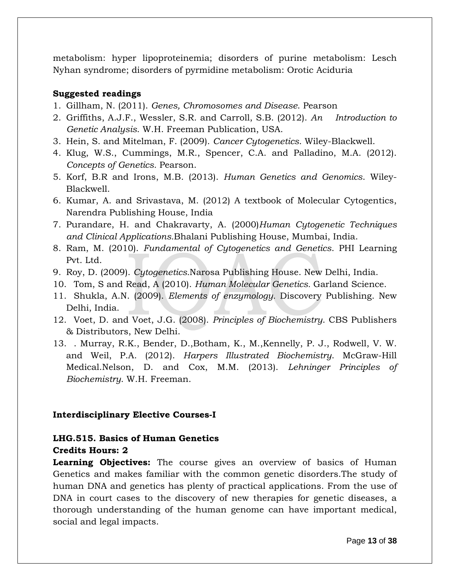metabolism: hyper lipoproteinemia; disorders of purine metabolism: Lesch Nyhan syndrome; disorders of pyrmidine metabolism: Orotic Aciduria

### **Suggested readings**

- 1. Gillham, N. (2011). *Genes, Chromosomes and Disease*. Pearson
- 2. Griffiths, A.J.F., Wessler, S.R. and Carroll, S.B. (2012). *An Introduction to Genetic Analysis*. W.H. Freeman Publication, USA.
- 3. Hein, S. and Mitelman, F. (2009). *Cancer Cytogenetics*. Wiley-Blackwell.
- 4. Klug, W.S., Cummings, M.R., Spencer, C.A. and Palladino, M.A. (2012). *Concepts of Genetics.* Pearson.
- 5. Korf, B.R and Irons, M.B. (2013). *Human Genetics and Genomics*. Wiley-Blackwell.
- 6. Kumar, A. and Srivastava, M. (2012) A textbook of Molecular Cytogentics, Narendra Publishing House, India
- 7. Purandare, H. and Chakravarty, A. (2000)*Human Cytogenetic Techniques and Clinical Applications.*Bhalani Publishing House, Mumbai, India.
- 8. Ram, M. (2010). *Fundamental of Cytogenetics and Genetics*. PHI Learning Pvt. Ltd.
- 9. Roy, D. (2009). *Cytogenetics.*Narosa Publishing House. New Delhi, India.
- 10. Tom, S and Read, A (2010). *Human Molecular Genetics.* Garland Science.
- 11. Shukla, A.N. (2009). *Elements of enzymology.* Discovery Publishing. New Delhi, India.
- 12. Voet, D. and Voet, J.G. (2008). *Principles of Biochemistry*. CBS Publishers & Distributors, New Delhi.
- 13. . Murray, R.K., Bender, D.,Botham, K., M.,Kennelly, P. J., Rodwell, V. W. and Weil, P.A. (2012). *Harpers Illustrated Biochemistry*. McGraw-Hill Medical.Nelson, D. and Cox, M.M. (2013). *Lehninger Principles of Biochemistry*. W.H. Freeman.

### **Interdisciplinary Elective Courses-I**

### **LHG.515. Basics of Human Genetics**

### **Credits Hours: 2**

**Learning Objectives:** The course gives an overview of basics of Human Genetics and makes familiar with the common genetic disorders.The study of human DNA and genetics has plenty of practical applications. From the use of DNA in court cases to the discovery of new therapies for genetic diseases, a thorough understanding of the human genome can have important medical, social and legal impacts.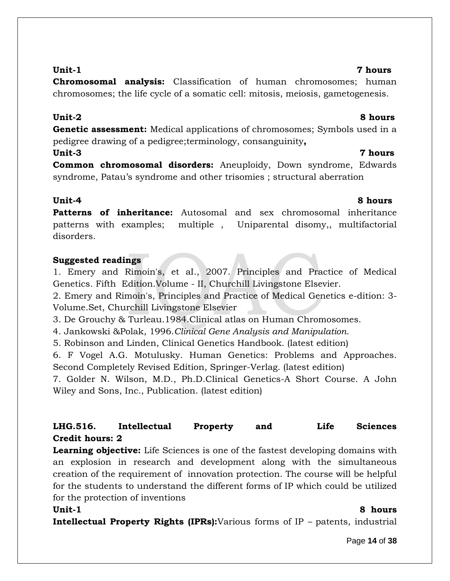**Chromosomal analysis:** Classification of human chromosomes; human chromosomes; the life cycle of a somatic cell: mitosis, meiosis, gametogenesis.

# **Unit-2 8 hours**

**Genetic assessment:** Medical applications of chromosomes; Symbols used in a pedigree drawing of a pedigree;terminology, consanguinity**,** 

# **Unit-3 7 hours**

**Common chromosomal disorders:** Aneuploidy, Down syndrome, Edwards syndrome, Patau's syndrome and other trisomies ; structural aberration

**Patterns of inheritance:** Autosomal and sex chromosomal inheritance patterns with examples; multiple , Uniparental disomy,, multifactorial disorders.

# **Suggested readings**

1. Emery and Rimoin's, et aI., 2007. Principles and Practice of Medical Genetics. Fifth Edition.Volume - II, Churchill Livingstone Elsevier.

2. Emery and Rimoin's, Principles and Practice of Medical Genetics e-dition: 3- Volume.Set, Churchill Livingstone Elsevier

3. De Grouchy & Turleau.1984.Clinical atlas on Human Chromosomes.

4. Jankowski &Polak, 1996.*Clinical Gene Analysis and Manipulation*.

5. Robinson and Linden, Clinical Genetics Handbook. (latest edition)

6. F Vogel A.G. Motulusky. Human Genetics: Problems and Approaches. Second Completely Revised Edition, Springer-Verlag. (latest edition)

7. Golder N. Wilson, M.D., Ph.D.Clinical Genetics-A Short Course. A John Wiley and Sons, Inc., Publication. (latest edition)

# **LHG.516. Intellectual Property and Life Sciences Credit hours: 2**

**Learning objective:** Life Sciences is one of the fastest developing domains with an explosion in research and development along with the simultaneous creation of the requirement of innovation protection. The course will be helpful for the students to understand the different forms of IP which could be utilized for the protection of inventions

**Unit-1 8 hours**

**Intellectual Property Rights (IPRs):**Various forms of IP *–* patents, industrial

Page **14** of **38**

## **Unit-1 7 hours**

# **Unit-4 8 hours**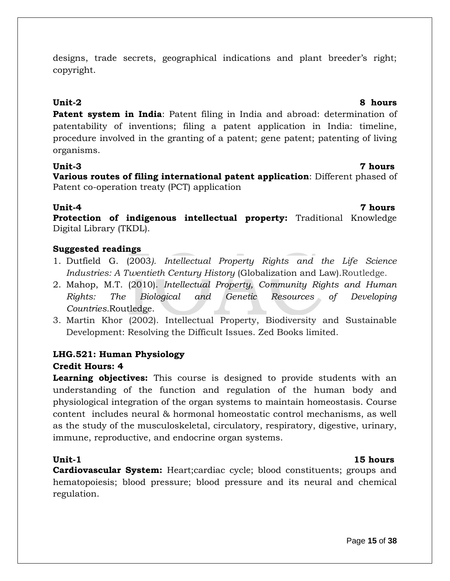designs, trade secrets, geographical indications and plant breeder's right; copyright.

**Patent system in India**: Patent filing in India and abroad: determination of patentability of inventions; filing a patent application in India: timeline, procedure involved in the granting of a patent; gene patent; patenting of living organisms.

### **Unit-3 7 hours**

**Various routes of filing international patent application**: Different phased of Patent co-operation treaty (PCT) application

### **Unit-4 7 hours**

**Protection of indigenous intellectual property:** Traditional Knowledge Digital Library (TKDL).

# **Suggested readings**

- 1. Dutfield G. (2003*). Intellectual Property Rights and the Life Science Industries: A Twentieth Century History* (Globalization and Law).Routledge.
- 2. Mahop, M.T. (2010). *Intellectual Property, Community Rights and Human Rights: The Biological and Genetic Resources of Developing Countries.*Routledge.
- 3. Martin Khor (2002). Intellectual Property, Biodiversity and Sustainable Development: Resolving the Difficult Issues. Zed Books limited.

# **LHG.521: Human Physiology**

### **Credit Hours: 4**

**Learning objectives:** This course is designed to provide students with an understanding of the function and regulation of the human body and physiological integration of the organ systems to maintain homeostasis. Course content includes neural & hormonal homeostatic control mechanisms, as well as the study of the musculoskeletal, circulatory, respiratory, digestive, urinary, immune, reproductive, and endocrine organ systems.

# **Unit-1** 15 hours

**Cardiovascular System:** Heart;cardiac cycle; blood constituents; groups and hematopoiesis; blood pressure; blood pressure and its neural and chemical regulation.

# **Unit-2 8 hours**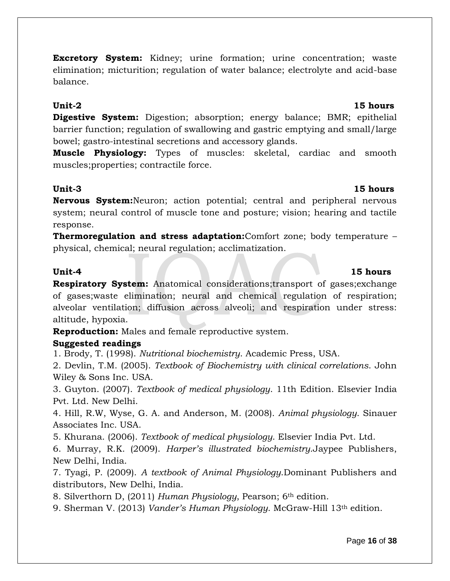**Excretory System:** Kidney; urine formation; urine concentration; waste elimination; micturition; regulation of water balance; electrolyte and acid-base balance.

### **Unit-2 15 hours**

**Digestive System:** Digestion; absorption; energy balance; BMR; epithelial barrier function; regulation of swallowing and gastric emptying and small/large bowel; gastro-intestinal secretions and accessory glands.

**Muscle Physiology:** Types of muscles: skeletal, cardiac and smooth muscles;properties; contractile force.

### **Unit-3 15 hours**

**Nervous System:**Neuron; action potential; central and peripheral nervous system; neural control of muscle tone and posture; vision; hearing and tactile response.

**Thermoregulation and stress adaptation:**Comfort zone; body temperature – physical, chemical; neural regulation; acclimatization.

**Respiratory System:** Anatomical considerations;transport of gases;exchange of gases;waste elimination; neural and chemical regulation of respiration; alveolar ventilation; diffusion across alveoli; and respiration under stress: altitude, hypoxia.

**Reproduction:** Males and female reproductive system.

# **Suggested readings**

1. Brody, T. (1998). *Nutritional biochemistry*. Academic Press, USA.

2. Devlin, T.M. (2005). *Textbook of Biochemistry with clinical correlations*. John Wiley & Sons Inc. USA.

3. Guyton. (2007). *Textbook of medical physiology*. 11th Edition. Elsevier India Pvt. Ltd. New Delhi.

4. Hill, R.W, Wyse, G. A. and Anderson, M. (2008). *Animal physiology*. Sinauer Associates Inc. USA.

5. Khurana. (2006). *Textbook of medical physiology*. Elsevier India Pvt. Ltd.

6. Murray, R.K. (2009). *Harper's illustrated biochemistry*.Jaypee Publishers, New Delhi, India.

7. Tyagi, P. (2009). *A textbook of Animal Physiology*.Dominant Publishers and distributors, New Delhi, India.

8. Silverthorn D, (2011) *Human Physiology*, Pearson; 6th edition.

9. Sherman V. (2013) *Vander's Human Physiology*. McGraw-Hill 13th edition.

# **Unit-4 15 hours**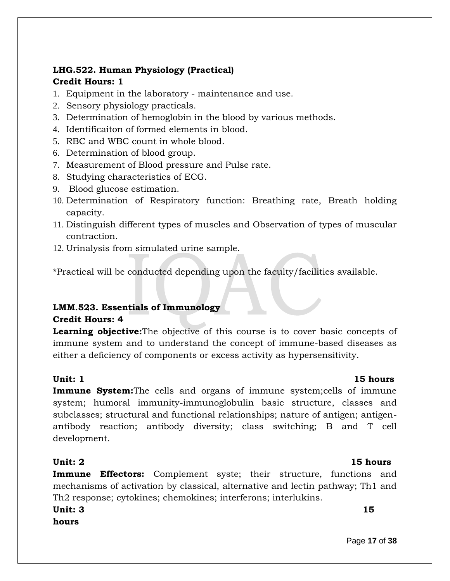# **LHG.522. Human Physiology (Practical) Credit Hours: 1**

- 1. Equipment in the laboratory maintenance and use.
- 2. Sensory physiology practicals.
- 3. Determination of hemoglobin in the blood by various methods.
- 4. Identificaiton of formed elements in blood.
- 5. RBC and WBC count in whole blood.
- 6. Determination of blood group.
- 7. Measurement of Blood pressure and Pulse rate.
- 8. Studying characteristics of ECG.
- 9. Blood glucose estimation.
- 10. Determination of Respiratory function: Breathing rate, Breath holding capacity.
- 11. Distinguish different types of muscles and Observation of types of muscular contraction.
- 12. Urinalysis from simulated urine sample.

\*Practical will be conducted depending upon the faculty/facilities available.

# **LMM.523. Essentials of Immunology Credit Hours: 4**

**Learning objective:**The objective of this course is to cover basic concepts of immune system and to understand the concept of immune-based diseases as either a deficiency of components or excess activity as hypersensitivity.

### **Unit: 1** 15 hours

**Immune System:**The cells and organs of immune system;cells of immune system; humoral immunity-immunoglobulin basic structure, classes and subclasses; structural and functional relationships; nature of antigen; antigenantibody reaction; antibody diversity; class switching; B and T cell development.

# **Unit: 2** 15 hours

**Immune Effectors:** Complement syste; their structure, functions and mechanisms of activation by classical, alternative and lectin pathway; Th1 and Th2 response; cytokines; chemokines; interferons; interlukins.

**Unit: 3** 15 **hours**

Page **17** of **38**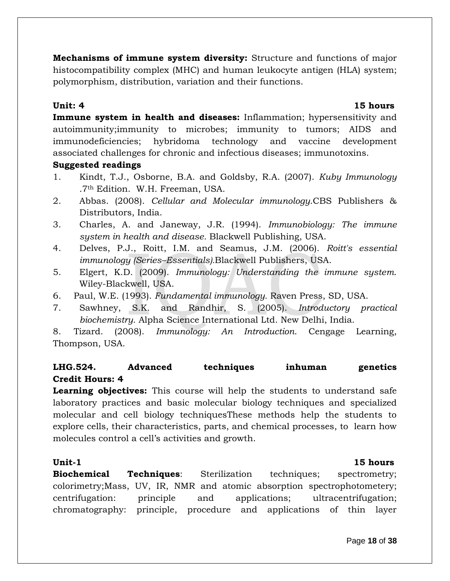**Mechanisms of immune system diversity:** Structure and functions of major histocompatibility complex (MHC) and human leukocyte antigen (HLA) system; polymorphism, distribution, variation and their functions.

### **Unit: 4 15 hours**

**Immune system in health and diseases:** Inflammation; hypersensitivity and autoimmunity;immunity to microbes; immunity to tumors; AIDS and immunodeficiencies; hybridoma technology and vaccine development associated challenges for chronic and infectious diseases; immunotoxins.

## **Suggested readings**

- 1. Kindt, T.J., Osborne, B.A. and Goldsby, R.A. (2007). *Kuby Immunology* .7th Edition. W.H. Freeman, USA.
- 2. Abbas. (2008). *Cellular and Molecular immunology*.CBS Publishers & Distributors, India.
- 3. Charles, A. and Janeway, J.R. (1994). *Immunobiology: The immune system in health and disease.* Blackwell Publishing, USA.
- 4. Delves, P.J., Roitt, I.M. and Seamus, J.M. (2006). *Roitt's essential immunology (Series–Essentials).*Blackwell Publishers, USA.
- 5. Elgert, K.D. (2009). *Immunology: Understanding the immune system*. Wiley-Blackwell, USA.
- 6. Paul, W.E. (1993). *Fundamental immunology.* Raven Press, SD, USA.
- 7. Sawhney, S.K. and Randhir, S. (2005). *Introductory practical biochemistry*. Alpha Science International Ltd. New Delhi, India.

8. Tizard. (2008). *Immunology: An Introduction*. Cengage Learning, Thompson, USA.

# **LHG.524. Advanced techniques inhuman genetics Credit Hours: 4**

**Learning objectives:** This course will help the students to understand safe laboratory practices and basic molecular biology techniques and specialized molecular and cell biology techniquesThese methods help the students to explore cells, their characteristics, parts, and chemical processes, to learn how molecules control a cell's activities and growth.

### **Unit-1** 15 hours

**Biochemical Techniques**: Sterilization techniques; spectrometry; colorimetry;Mass, UV, IR, NMR and atomic absorption spectrophotometery; centrifugation: principle and applications; ultracentrifugation; chromatography: principle, procedure and applications of thin layer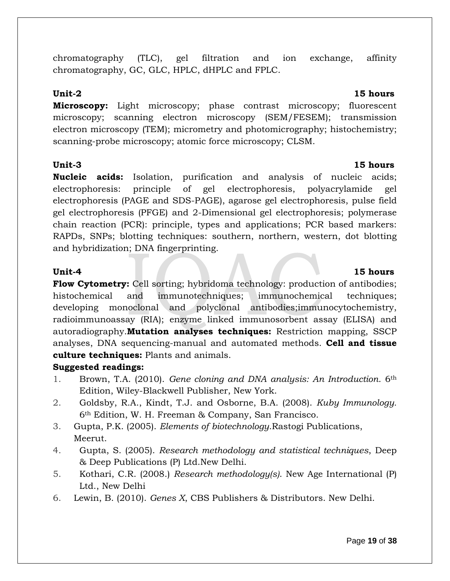Page **19** of **38**

chromatography (TLC), gel filtration and ion exchange, affinity chromatography, GC, GLC, HPLC, dHPLC and FPLC.

**Microscopy:** Light microscopy; phase contrast microscopy; fluorescent microscopy; scanning electron microscopy (SEM/FESEM); transmission electron microscopy (TEM); micrometry and photomicrography; histochemistry; scanning-probe microscopy; atomic force microscopy; CLSM.

## **Unit-3 15 hours**

**Nucleic acids:** Isolation, purification and analysis of nucleic acids; electrophoresis: principle of gel electrophoresis, polyacrylamide gel electrophoresis (PAGE and SDS-PAGE), agarose gel electrophoresis, pulse field gel electrophoresis (PFGE) and 2-Dimensional gel electrophoresis; polymerase chain reaction (PCR): principle, types and applications; PCR based markers: RAPDs, SNPs; blotting techniques: southern, northern, western, dot blotting and hybridization; DNA fingerprinting.

**Flow Cytometry:** Cell sorting; hybridoma technology: production of antibodies; histochemical and immunotechniques; immunochemical techniques; developing monoclonal and polyclonal antibodies;immunocytochemistry, radioimmunoassay (RIA); enzyme linked immunosorbent assay (ELISA) and autoradiography.**Mutation analyses techniques:** Restriction mapping, SSCP analyses, DNA sequencing-manual and automated methods. **Cell and tissue culture techniques:** Plants and animals.

# **Suggested readings:**

- 1. Brown, T.A. (2010). *Gene cloning and DNA analysis: An Introduction*. 6th Edition, Wiley-Blackwell Publisher, New York.
- 2. Goldsby, R.A., Kindt, T.J. and Osborne, B.A. (2008). *Kuby Immunology.* 6th Edition, W. H. Freeman & Company, San Francisco.
- 3. Gupta, P.K. (2005). *Elements of biotechnology*.Rastogi Publications, Meerut.
- 4. Gupta, S. (2005). *Research methodology and statistical techniques*, Deep & Deep Publications (P) Ltd.New Delhi.
- 5. Kothari, C.R. (2008.) *Research methodology(s)*. New Age International (P) Ltd., New Delhi
- 6. Lewin, B. (2010). *Genes X*, CBS Publishers & Distributors. New Delhi.

### **Unit-2 15 hours**

# **Unit-4 15 hours**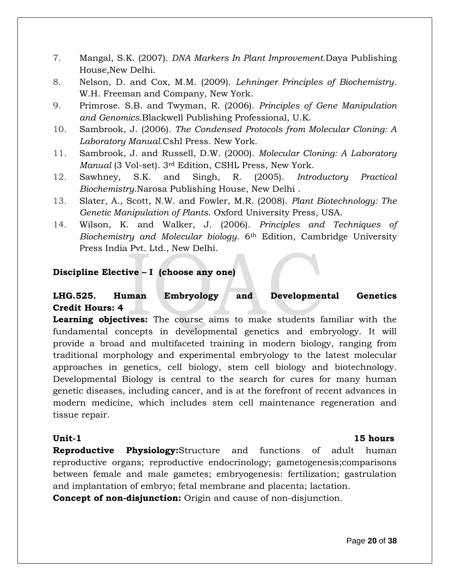- 7. Mangal, S.K. (2007). *DNA Markers In Plant Improvement*.Daya Publishing House,New Delhi.
- 8. Nelson, D. and Cox, M.M. (2009). *Lehninger Principles of Biochemistry*. W.H. Freeman and Company, New York.
- 9. Primrose. S.B. and Twyman, R. (2006). *Principles of Gene Manipulation and Genomics.*Blackwell Publishing Professional, U.K.
- 10. Sambrook, J. (2006). *The Condensed Protocols from Molecular Cloning: A Laboratory Manual.*Cshl Press. New York.
- 11. Sambrook, J. and Russell, D.W. (2000). *Molecular Cloning: A Laboratory Manual* (3 Vol-set). 3rd Edition, CSHL Press, New York.
- 12. Sawhney, S.K. and Singh, R. (2005). *Introductory Practical Biochemistry*.Narosa Publishing House, New Delhi .
- 13. Slater, A., Scott, N.W. and Fowler, M.R. (2008). *Plant Biotechnology: The Genetic Manipulation of Plants*. Oxford University Press, USA.
- 14. Wilson, K. and Walker, J. (2006). *Principles and Techniques of Biochemistry and Molecular biology*. 6th Edition, Cambridge University Press India Pvt. Ltd., New Delhi.

### **Discipline Elective – I (choose any one)**

# **LHG.525. Human Embryology and Developmental Genetics Credit Hours: 4**

**Learning objectives:** The course aims to make students familiar with the fundamental concepts in developmental genetics and embryology. It will provide a broad and multifaceted training in modern biology, ranging from traditional morphology and experimental embryology to the latest molecular approaches in genetics, cell biology, stem cell biology and biotechnology. Developmental Biology is central to the search for cures for many human genetic diseases, including cancer, and is at the forefront of recent advances in modern medicine, which includes stem cell maintenance regeneration and tissue repair.

## **Unit-1** 15 hours

**Reproductive Physiology:**Structure and functions of adult human reproductive organs; reproductive endocrinology; gametogenesis;comparisons between female and male gametes; embryogenesis: fertilization; gastrulation and implantation of embryo; fetal membrane and placenta; lactation.

**Concept of non-disjunction:** Origin and cause of non-disjunction.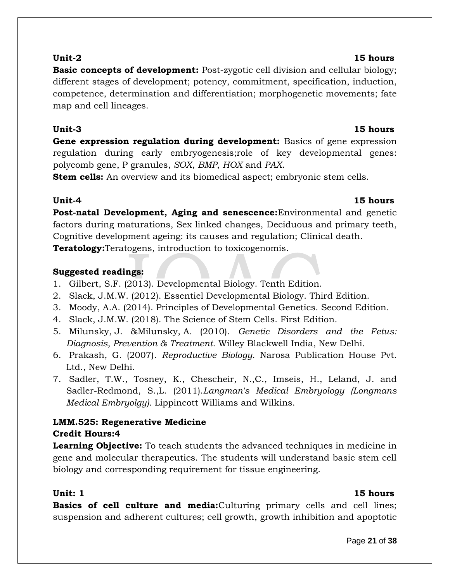### Page **21** of **38**

**Basic concepts of development:** Post-zygotic cell division and cellular biology; different stages of development; potency, commitment, specification, induction, competence, determination and differentiation; morphogenetic movements; fate map and cell lineages.

### **Unit-3 15 hours**

**Gene expression regulation during development:** Basics of gene expression regulation during early embryogenesis;role of key developmental genes: polycomb gene, P granules, *SOX*, *BMP*, *HOX* and *PAX*.

**Stem cells:** An overview and its biomedical aspect; embryonic stem cells.

# **Unit-4 15 hours**

**Post-natal Development, Aging and senescence:**Environmental and genetic factors during maturations, Sex linked changes, Deciduous and primary teeth, Cognitive development ageing: its causes and regulation; Clinical death. **Teratology:**Teratogens, introduction to toxicogenomis.

# **Suggested readings:**

- 1. Gilbert, S.F. (2013). Developmental Biology. Tenth Edition.
- 2. Slack, J.M.W. (2012). Essentiel Developmental Biology. Third Edition.
- 3. Moody, A.A. (2014). Principles of Developmental Genetics. Second Edition.
- 4. Slack, J.M.W. (2018). The Science of Stem Cells. First Edition.
- 5. [Milunsky,](http://www.amazon.com/s/ref=ntt_athr_dp_sr_2?_encoding=UTF8&field-author=Jeff%20Milunsky&ie=UTF8&search-alias=books&sort=relevancerank) J. [&Milunsky,](http://www.amazon.com/s/ref=ntt_athr_dp_sr_2?_encoding=UTF8&field-author=Jeff%20Milunsky&ie=UTF8&search-alias=books&sort=relevancerank) A. (2010). *Genetic Disorders and the Fetus: Diagnosis, Prevention & Treatment*. Willey Blackwell India, New Delhi.
- 6. Prakash, G. (2007). *Reproductive Biology*. Narosa Publication House Pvt. Ltd., New Delhi.
- 7. Sadler, T.W., Tosney, K., Chescheir, N.,C., Imseis, H., Leland, J. and Sadler-Redmond, S.,L. (2011).*Langman's Medical Embryology (Longmans Medical Embryolgy).* Lippincott Williams and Wilkins.

# **LMM.525: Regenerative Medicine Credit Hours:4**

**Learning Objective:** To teach students the advanced techniques in medicine in gene and molecular therapeutics. The students will understand basic stem cell biology and corresponding requirement for tissue engineering.

# **Unit: 1** 15 hours

**Basics of cell culture and media:**Culturing primary cells and cell lines; suspension and adherent cultures; cell growth, growth inhibition and apoptotic

### **Unit-2 15 hours**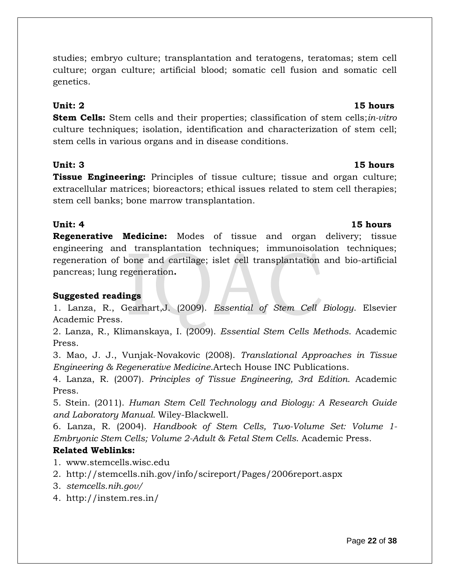studies; embryo culture; transplantation and teratogens, teratomas; stem cell culture; organ culture; artificial blood; somatic cell fusion and somatic cell genetics.

**Stem Cells:** Stem cells and their properties; classification of stem cells;*in-vitro*  culture techniques; isolation, identification and characterization of stem cell; stem cells in various organs and in disease conditions.

# **Unit: 3 15 hours**

**Tissue Engineering:** Principles of tissue culture; tissue and organ culture; extracellular matrices; bioreactors; ethical issues related to stem cell therapies; stem cell banks; bone marrow transplantation.

**Regenerative Medicine:** Modes of tissue and organ delivery; tissue engineering and transplantation techniques; immunoisolation techniques; regeneration of bone and cartilage; islet cell transplantation and bio-artificial pancreas; lung regeneration**.**

# **Suggested readings**

1. Lanza, R., Gearhart,J. (2009). *Essential of Stem Cell Biology*. Elsevier Academic Press.

2. Lanza, R., Klimanskaya, I. (2009). *Essential Stem Cells Methods*. Academic Press.

3. Mao, J. J., Vunjak-Novakovic (2008). *Translational Approaches in Tissue Engineering & Regenerative Medicine*.Artech House INC Publications.

4. Lanza, R. (2007). *Principles of Tissue Engineering, 3rd Edition*. Academic Press.

5. Stein. (2011). *Human Stem Cell Technology and Biology: A Research Guide and Laboratory Manual.* Wiley-Blackwell.

6. Lanza, R. (2004). *Handbook of Stem Cells, Two-Volume Set: Volume 1- Embryonic Stem Cells; Volume 2-Adult & Fetal Stem Cells*. Academic Press.

# **Related Weblinks:**

- 1. www.stemcells.wisc.edu
- 2. http://stemcells.nih.gov/info/scireport/Pages/2006report.aspx
- 3. *stemcells.nih.gov/*
- 4. http://instem.res.in/

## **Unit: 2** 15 hours

# **Unit: 4** 15 hours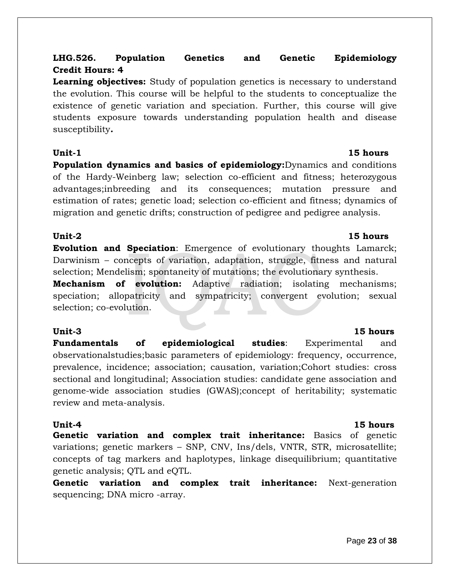# **LHG.526. Population Genetics and Genetic Epidemiology Credit Hours: 4**

**Learning objectives:** Study of population genetics is necessary to understand the evolution. This course will be helpful to the students to conceptualize the existence of genetic variation and speciation. Further, this course will give students exposure towards understanding population health and disease susceptibility*.* 

**Population dynamics and basics of epidemiology:**Dynamics and conditions of the Hardy-Weinberg law; selection co-efficient and fitness; heterozygous advantages;inbreeding and its consequences; mutation pressure and estimation of rates; genetic load; selection co-efficient and fitness; dynamics of migration and genetic drifts; construction of pedigree and pedigree analysis.

# **Unit-2 15 hours**

**Evolution and Speciation**: Emergence of evolutionary thoughts Lamarck; Darwinism – concepts of variation, adaptation, struggle, fitness and natural selection; Mendelism; spontaneity of mutations; the evolutionary synthesis.

**Mechanism of evolution:** Adaptive radiation; isolating mechanisms; speciation; allopatricity and sympatricity; convergent evolution; sexual selection; co-evolution.

**Fundamentals of epidemiological studies**: Experimental and observationalstudies;basic parameters of epidemiology: frequency, occurrence, prevalence, incidence; association; causation, variation;Cohort studies: cross sectional and longitudinal; Association studies: candidate gene association and genome-wide association studies (GWAS);concept of heritability; systematic review and meta-analysis.

**Unit-4 15 hours Genetic variation and complex trait inheritance:** Basics of genetic variations; genetic markers – SNP, CNV, Ins/dels, VNTR, STR, microsatellite; concepts of tag markers and haplotypes, linkage disequilibrium; quantitative genetic analysis; QTL and eQTL.

**Genetic variation and complex trait inheritance:** Next-generation sequencing; DNA micro -array.

# **Unit-3 15 hours**

# **Unit-1** 15 hours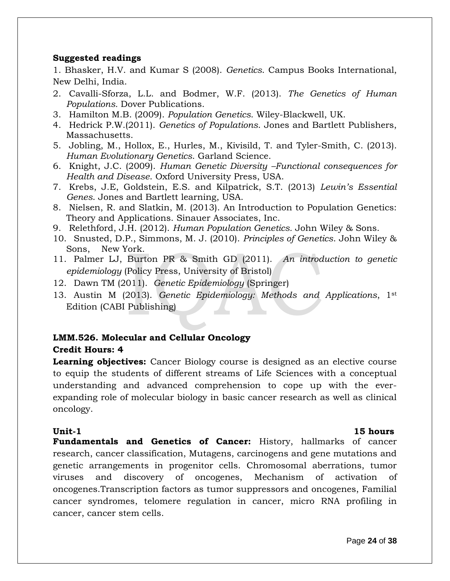### **Suggested readings**

1. Bhasker, H.V. and Kumar S (2008). *Genetics*. Campus Books International, New Delhi, India.

- 2. Cavalli-Sforza, L.L. and Bodmer, W.F. (2013). *The Genetics of Human Populations.* Dover Publications.
- 3. Hamilton M.B. (2009). *Population Genetics*. Wiley-Blackwell, UK.
- 4. Hedrick P.W.(2011). *Genetics of Populations*. Jones and Bartlett Publishers, Massachusetts.
- 5. Jobling, M., Hollox, E., Hurles, M., Kivisild, T. and Tyler-Smith, C. (2013). *Human Evolutionary Genetics*. Garland Science.
- 6. Knight, J.C. (2009). *Human Genetic Diversity –Functional consequences for Health and Disease*. Oxford University Press, USA.
- 7. Krebs, J.E, Goldstein, E.S. and Kilpatrick, S.T. (2013) *Lewin's Essential Genes*. Jones and Bartlett learning, USA.
- 8. Nielsen, R. and Slatkin, M. (2013). An Introduction to Population Genetics: Theory and Applications. Sinauer Associates, Inc.
- 9. Relethford, J.H. (2012). *Human Population Genetics.* John Wiley & Sons.
- 10. Snusted, D.P., Simmons, M. J. (2010). *Principles of Genetics*. John Wiley & Sons, New York.
- 11. Palmer LJ, Burton PR & Smith GD (2011). *An introduction to genetic epidemiology* (Policy Press, University of Bristol)
- 12. Dawn TM (2011). *Genetic Epidemiology* (Springer)
- 13. Austin M (2013). *Genetic Epidemiology: Methods and Applications*, 1st Edition (CABI Publishing)

# **LMM.526. Molecular and Cellular Oncology**

# **Credit Hours: 4**

**Learning objectives:** Cancer Biology course is designed as an elective course to equip the students of different streams of Life Sciences with a conceptual understanding and advanced comprehension to cope up with the everexpanding role of molecular biology in basic cancer research as well as clinical oncology.

**Unit-1** 15 hours

**Fundamentals and Genetics of Cancer:** History, hallmarks of cancer research, cancer classification, Mutagens, carcinogens and gene mutations and genetic arrangements in progenitor cells. Chromosomal aberrations, tumor viruses and discovery of oncogenes, Mechanism of activation of oncogenes.Transcription factors as tumor suppressors and oncogenes, Familial cancer syndromes, telomere regulation in cancer, micro RNA profiling in cancer, cancer stem cells.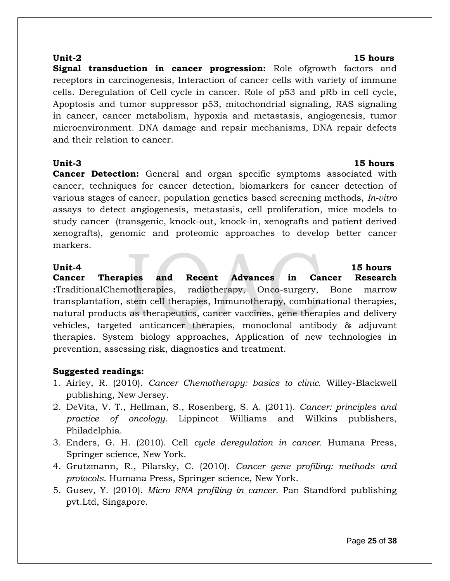**Signal transduction in cancer progression:** Role ofgrowth factors and receptors in carcinogenesis, Interaction of cancer cells with variety of immune cells. Deregulation of Cell cycle in cancer. Role of p53 and pRb in cell cycle, Apoptosis and tumor suppressor p53, mitochondrial signaling, RAS signaling in cancer, cancer metabolism, hypoxia and metastasis, angiogenesis, tumor microenvironment. DNA damage and repair mechanisms, DNA repair defects and their relation to cancer.

**Cancer Detection:** General and organ specific symptoms associated with cancer, techniques for cancer detection, biomarkers for cancer detection of various stages of cancer, population genetics based screening methods, *In-vitro* assays to detect angiogenesis, metastasis, cell proliferation, mice models to study cancer (transgenic, knock-out, knock-in, xenografts and patient derived xenografts), genomic and proteomic approaches to develop better cancer markers.

### **Unit-4 15 hours**

**Cancer Therapies and Recent Advances in Cancer Research :**TraditionalChemotherapies, radiotherapy, Onco-surgery, Bone marrow transplantation, stem cell therapies, Immunotherapy, combinational therapies, natural products as therapeutics, cancer vaccines, gene therapies and delivery vehicles, targeted anticancer therapies, monoclonal antibody & adjuvant therapies. System biology approaches, Application of new technologies in prevention, assessing risk, diagnostics and treatment.

### **Suggested readings:**

- 1. Airley, R. (2010). *Cancer Chemotherapy: basics to clinic.* Willey-Blackwell publishing, New Jersey.
- 2. DeVita, V. T., Hellman, S., Rosenberg, S. A. (2011). *Cancer: principles and practice of oncology.* Lippincot Williams and Wilkins publishers, Philadelphia.
- 3. Enders, G. H. (2010). Cell *cycle deregulation in cancer.* Humana Press, Springer science, New York.
- 4. Grutzmann, R., Pilarsky, C. (2010). *Cancer gene profiling: methods and protocols*. Humana Press, Springer science, New York.
- 5. Gusev, Y. (2010). *Micro RNA profiling in cancer.* Pan Standford publishing pvt.Ltd, Singapore.

### **Unit-2 15 hours**

# **Unit-3 15 hours**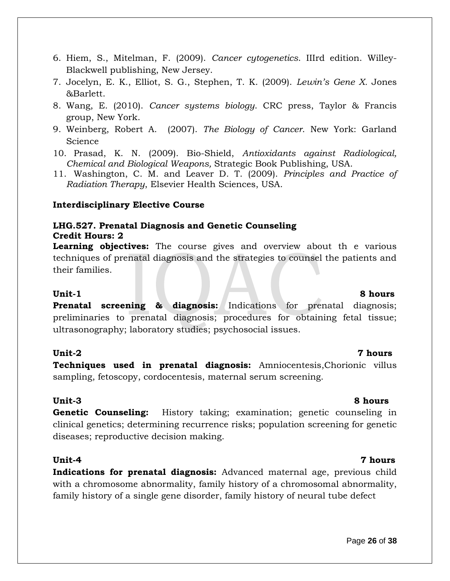- *Chemical and Biological Weapons,* Strategic Book Publishing, USA.
- 11. Washington, C. M. and Leaver D. T. (2009). *Principles and Practice of Radiation Therapy*, Elsevier Health Sciences, USA.

6. Hiem, S., Mitelman, F. (2009). *Cancer cytogenetics*. IIIrd edition. Willey-

7. Jocelyn, E. K., Elliot, S. G., Stephen, T. K. (2009). *Lewin's Gene X.* Jones

8. Wang, E. (2010). *Cancer systems biology*. CRC press, Taylor & Francis

9. Weinberg, Robert A. (2007). *The Biology of Cancer*. New York: Garland

10. Prasad, K. N. (2009). Bio-Shield, *Antioxidants against Radiological,* 

### **Interdisciplinary Elective Course**

Blackwell publishing, New Jersey.

### **LHG.527. Prenatal Diagnosis and Genetic Counseling Credit Hours: 2**

**Learning objectives:** The course gives and overview about th e various techniques of prenatal diagnosis and the strategies to counsel the patients and their families.

### **Unit-1 8 hours**

&Barlett.

Science

group, New York.

**Prenatal screening & diagnosis:** Indications for prenatal diagnosis; preliminaries to prenatal diagnosis; procedures for obtaining fetal tissue; ultrasonography; laboratory studies; psychosocial issues.

**Techniques used in prenatal diagnosis:** Amniocentesis,Chorionic villus sampling, fetoscopy, cordocentesis, maternal serum screening.

**Genetic Counseling:** History taking; examination; genetic counseling in clinical genetics; determining recurrence risks; population screening for genetic diseases; reproductive decision making.

### **Unit-4 7 hours**

**Indications for prenatal diagnosis:** Advanced maternal age, previous child with a chromosome abnormality, family history of a chromosomal abnormality, family history of a single gene disorder, family history of neural tube defect

### Page **26** of **38**

### **Unit-3 8 hours**

### **Unit-2 7 hours**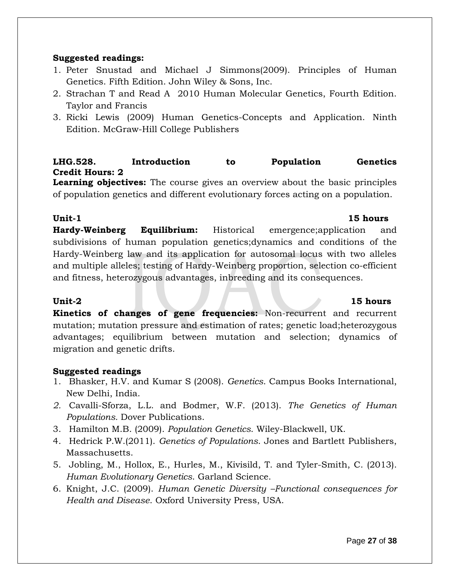### **Suggested readings:**

- 1. Peter Snustad and Michael J Simmons(2009). Principles of Human Genetics. Fifth Edition. John Wiley & Sons, Inc.
- 2. Strachan T and Read A 2010 Human Molecular Genetics, Fourth Edition. Taylor and Francis
- 3. Ricki Lewis (2009) Human Genetics-Concepts and Application. Ninth Edition. McGraw-Hill College Publishers

# **LHG.528. Introduction to Population Genetics Credit Hours: 2**

**Learning objectives:** The course gives an overview about the basic principles of population genetics and different evolutionary forces acting on a population.

### **Unit-1** 15 hours

**Hardy-Weinberg Equilibrium:** Historical emergence;application and subdivisions of human population genetics;dynamics and conditions of the Hardy-Weinberg law and its application for autosomal locus with two alleles and multiple alleles; testing of Hardy-Weinberg proportion, selection co-efficient and fitness, heterozygous advantages, inbreeding and its consequences.

### **Unit-2 15 hours**

**Kinetics of changes of gene frequencies:** Non-recurrent and recurrent mutation; mutation pressure and estimation of rates; genetic load;heterozygous advantages; equilibrium between mutation and selection; dynamics of migration and genetic drifts.

### **Suggested readings**

- 1. Bhasker, H.V. and Kumar S (2008). *Genetics*. Campus Books International, New Delhi, India.
- *2.* Cavalli-Sforza, L.L. and Bodmer, W.F. (2013). *The Genetics of Human Populations.* Dover Publications.
- 3. Hamilton M.B. (2009). *Population Genetics*. Wiley-Blackwell, UK.
- 4. Hedrick P.W.(2011). *Genetics of Populations*. Jones and Bartlett Publishers, Massachusetts.
- 5. Jobling, M., Hollox, E., Hurles, M., Kivisild, T. and Tyler-Smith, C. (2013). *Human Evolutionary Genetics*. Garland Science.
- 6. Knight, J.C. (2009). *Human Genetic Diversity –Functional consequences for Health and Disease*. Oxford University Press, USA.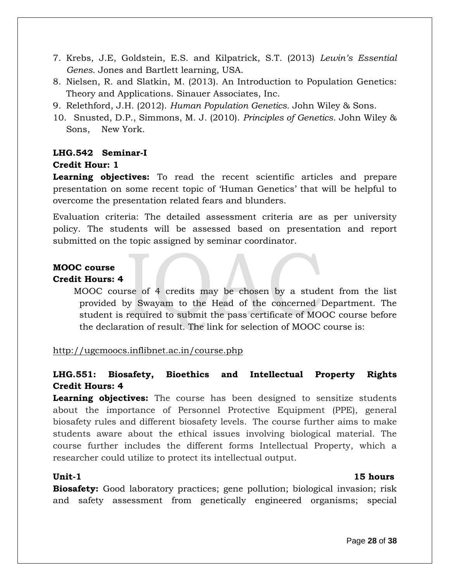- 7. Krebs, J.E, Goldstein, E.S. and Kilpatrick, S.T. (2013) *Lewin's Essential Genes*. Jones and Bartlett learning, USA.
- 8. Nielsen, R. and Slatkin, M. (2013). An Introduction to Population Genetics: Theory and Applications. Sinauer Associates, Inc.
- 9. Relethford, J.H. (2012). *Human Population Genetics.* John Wiley & Sons.
- 10. Snusted, D.P., Simmons, M. J. (2010). *Principles of Genetics*. John Wiley & Sons, New York.

# **LHG.542 Seminar-I Credit Hour: 1**

**Learning objectives:** To read the recent scientific articles and prepare presentation on some recent topic of 'Human Genetics' that will be helpful to overcome the presentation related fears and blunders.

Evaluation criteria: The detailed assessment criteria are as per university policy. The students will be assessed based on presentation and report submitted on the topic assigned by seminar coordinator.

# **MOOC course**

# **Credit Hours: 4**

MOOC course of 4 credits may be chosen by a student from the list provided by Swayam to the Head of the concerned Department. The student is required to submit the pass certificate of MOOC course before the declaration of result. The link for selection of MOOC course is:

http://ugcmoocs.inflibnet.ac.in/course.php

# **LHG.551: Biosafety, Bioethics and Intellectual Property Rights Credit Hours: 4**

**Learning objectives:** The course has been designed to sensitize students about the importance of Personnel Protective Equipment (PPE), general biosafety rules and different biosafety levels. The course further aims to make students aware about the ethical issues involving biological material. The course further includes the different forms Intellectual Property, which a researcher could utilize to protect its intellectual output.

### **Unit-1 15 hours**

**Biosafety:** Good laboratory practices; gene pollution; biological invasion; risk and safety assessment from genetically engineered organisms; special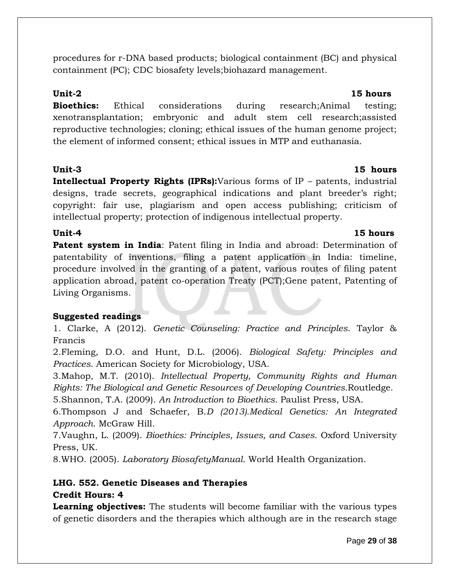procedures for r-DNA based products; biological containment (BC) and physical containment (PC); CDC biosafety levels;biohazard management.

**Bioethics:** Ethical considerations during research;Animal testing; xenotransplantation; embryonic and adult stem cell research;assisted reproductive technologies; cloning; ethical issues of the human genome project; the element of informed consent; ethical issues in MTP and euthanasia.

## **Unit-3 15 hours**

**Intellectual Property Rights (IPRs):**Various forms of IP *–* patents, industrial designs, trade secrets, geographical indications and plant breeder's right; copyright: fair use, plagiarism and open access publishing; criticism of intellectual property; protection of indigenous intellectual property.

**Patent system in India**: Patent filing in India and abroad: Determination of patentability of inventions, filing a patent application in India: timeline, procedure involved in the granting of a patent, various routes of filing patent application abroad, patent co-operation Treaty (PCT);Gene patent, Patenting of Living Organisms.

# **Suggested readings**

1. Clarke, A (2012). *Genetic Counseling: Practice and Principles*. Taylor & Francis

2.Fleming, D.O. and Hunt, D.L. (2006). *Biological Safety: Principles and Practices*. American Society for Microbiology, USA.

3.Mahop, M.T. (2010). *Intellectual Property, Community Rights and Human Rights: The Biological and Genetic Resources of Developing Countries.*Routledge.

5.Shannon, T.A. (2009). *An Introduction to Bioethics*. Paulist Press, USA.

6.Thompson J and Schaefer, B.*D (2013).Medical Genetics: An Integrated Approach*. McGraw Hill.

7.Vaughn, L. (2009). *Bioethics: Principles, Issues, and Cases*. Oxford University Press, UK.

8.WHO. (2005). *Laboratory BiosafetyManual*. World Health Organization.

# **LHG. 552. Genetic Diseases and Therapies**

# **Credit Hours: 4**

**Learning objectives:** The students will become familiar with the various types of genetic disorders and the therapies which although are in the research stage

### **Unit-2 15 hours**

# **Unit-4 15 hours**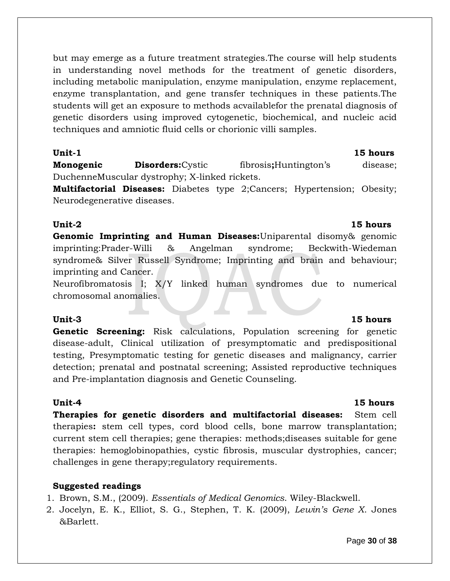but may emerge as a future treatment strategies.The course will help students in understanding novel methods for the treatment of genetic disorders, including metabolic manipulation, enzyme manipulation, enzyme replacement, enzyme transplantation, and gene transfer techniques in these patients.The students will get an exposure to methods acvailablefor the prenatal diagnosis of genetic disorders using improved cytogenetic, biochemical, and nucleic acid techniques and amniotic fluid cells or chorionic villi samples.

**Unit-1 15 hours**

**Monogenic Disorders:**Cystic fibrosis**;**Huntington's disease; DuchenneMuscular dystrophy; X-linked rickets.

**Multifactorial Diseases:** Diabetes type 2;Cancers; Hypertension; Obesity; Neurodegenerative diseases.

## **Unit-2 15 hours**

**Genomic Imprinting and Human Diseases:**Uniparental disomy& genomic imprinting:Prader-Willi & Angelman syndrome; Beckwith-Wiedeman syndrome& Silver Russell Syndrome; Imprinting and brain and behaviour; imprinting and Cancer.

Neurofibromatosis I; X/Y linked human syndromes due to numerical chromosomal anomalies.

**Genetic Screening:** Risk calculations, Population screening for genetic disease-adult, Clinical utilization of presymptomatic and predispositional testing, Presymptomatic testing for genetic diseases and malignancy, carrier detection; prenatal and postnatal screening; Assisted reproductive techniques and Pre-implantation diagnosis and Genetic Counseling.

**Therapies for genetic disorders and multifactorial diseases:** Stem cell therapies**:** stem cell types, cord blood cells, bone marrow transplantation; current stem cell therapies; gene therapies: methods;diseases suitable for gene therapies: hemoglobinopathies, cystic fibrosis, muscular dystrophies, cancer; challenges in gene therapy;regulatory requirements.

# **Suggested readings**

1. Brown, S.M., (2009). *Essentials of Medical Genomics*. Wiley-Blackwell.

2. Jocelyn, E. K., Elliot, S. G., Stephen, T. K. (2009), *Lewin's Gene X*. Jones &Barlett.

# **Unit-3 15 hours**

# **Unit-4 15 hours**

### Page **30** of **38**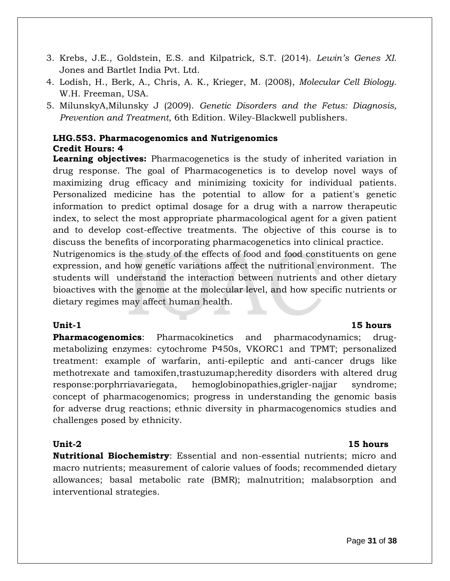- 3. Krebs, J.E., Goldstein, E.S. and Kilpatrick, S.T. (2014). *Lewin's Genes XI*. Jones and Bartlet India Pvt. Ltd.
- 4. Lodish, H., Berk, A., Chris, A. K., Krieger, M. (2008), *Molecular Cell Biology*. W.H. Freeman, USA.
- 5. [MilunskyA](http://as.wiley.com/WileyCDA/Section/id-302477.html?query=Aubrey+Milunsky)[,Milunsky](http://as.wiley.com/WileyCDA/Section/id-302477.html?query=Jeff+Milunsky) J (2009). *Genetic Disorders and the Fetus: Diagnosis, Prevention and Treatment*, 6th Edition. Wiley-Blackwell publishers.

# **LHG.553. Pharmacogenomics and Nutrigenomics Credit Hours: 4**

**Learning objectives:** Pharmacogenetics is the study of inherited variation in drug response. The goal of Pharmacogenetics is to develop novel ways of maximizing drug efficacy and minimizing toxicity for individual patients. Personalized medicine has the potential to allow for a patient's genetic information to predict optimal dosage for a drug with a narrow therapeutic index, to select the most appropriate pharmacological agent for a given patient and to develop cost-effective treatments. The objective of this course is to discuss the benefits of incorporating pharmacogenetics into clinical practice.

Nutrigenomics is the study of the effects of food and food constituents on gene expression, and how genetic variations affect the nutritional environment. The students will understand the interaction between nutrients and other dietary bioactives with the genome at the molecular level, and how specific nutrients or dietary regimes may affect human health.

# **Unit-1** 15 hours

**Pharmacogenomics**: Pharmacokinetics and pharmacodynamics; drugmetabolizing enzymes: cytochrome P450s, VKORC1 and TPMT; personalized treatment: example of warfarin, anti-epileptic and anti-cancer drugs like methotrexate and tamoxifen,trastuzumap;heredity disorders with altered drug response:porphrriavariegata, hemoglobinopathies,grigler-najjar syndrome; concept of pharmacogenomics; progress in understanding the genomic basis for adverse drug reactions; ethnic diversity in pharmacogenomics studies and challenges posed by ethnicity.

### **Unit-2 15 hours**

**Nutritional Biochemistry**: Essential and non-essential nutrients; micro and macro nutrients; measurement of calorie values of foods; recommended dietary allowances; basal metabolic rate (BMR); malnutrition; malabsorption and interventional strategies.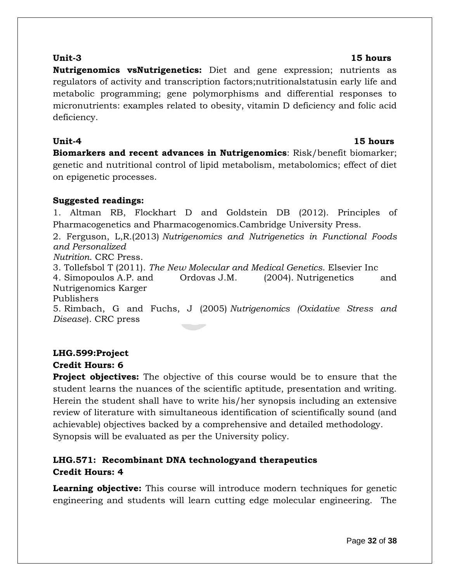### **Unit-3 15 hours**

**Nutrigenomics vsNutrigenetics:** Diet and gene expression; nutrients as regulators of activity and transcription factors;nutritionalstatusin early life and metabolic programming; gene polymorphisms and differential responses to micronutrients: examples related to obesity, vitamin D deficiency and folic acid deficiency.

# **Unit-4 15 hours**

**Biomarkers and recent advances in Nutrigenomics**: Risk/benefit biomarker; genetic and nutritional control of lipid metabolism, metabolomics; effect of diet on epigenetic processes.

## **Suggested readings:**

1. Altman RB, Flockhart D and Goldstein DB (2012). Principles of Pharmacogenetics and Pharmacogenomics.Cambridge University Press.

2. Ferguson, L,R.(2013) *Nutrigenomics and Nutrigenetics in Functional Foods and Personalized* 

*Nutrition*. CRC Press.

3. Tollefsbol T (2011). *The New Molecular and Medical Genetics*. Elsevier Inc

4. Simopoulos A.P. and Ordovas J.M. (2004). Nutrigenetics and Nutrigenomics Karger

Publishers

5. Rimbach, G and Fuchs, J (2005) *Nutrigenomics (Oxidative Stress and Disease*). CRC press

### **LHG.599:Project Credit Hours: 6**

**Project objectives:** The objective of this course would be to ensure that the student learns the nuances of the scientific aptitude, presentation and writing. Herein the student shall have to write his/her synopsis including an extensive review of literature with simultaneous identification of scientifically sound (and achievable) objectives backed by a comprehensive and detailed methodology. Synopsis will be evaluated as per the University policy.

# **LHG.571: Recombinant DNA technologyand therapeutics Credit Hours: 4**

**Learning objective:** This course will introduce modern techniques for genetic engineering and students will learn cutting edge molecular engineering. The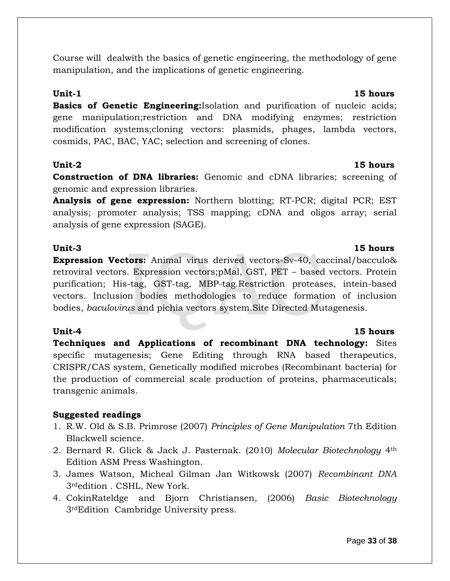Course will dealwith the basics of genetic engineering, the methodology of gene manipulation, and the implications of genetic engineering.

**Basics of Genetic Engineering:**Isolation and purification of nucleic acids; gene manipulation;restriction and DNA modifying enzymes; restriction modification systems;cloning vectors: plasmids, phages, lambda vectors, cosmids, PAC, BAC, YAC; selection and screening of clones.

### **Unit-2 15 hours**

**Construction of DNA libraries:** Genomic and cDNA libraries; screening of genomic and expression libraries.

**Analysis of gene expression:** Northern blotting; RT-PCR; digital PCR; EST analysis; promoter analysis; TSS mapping; cDNA and oligos array; serial analysis of gene expression (SAGE).

### **Unit-3 15 hours**

**Expression Vectors:** Animal virus derived vectors-Sv-40, caccinal/bacculo& retroviral vectors. Expression vectors;pMal, GST, PET – based vectors. Protein purification; His-tag, GST-tag, MBP-tag.Restriction proteases, intein-based vectors. Inclusion bodies methodologies to reduce formation of inclusion bodies, *baculovirus* and pichia vectors system.Site Directed Mutagenesis.

**Techniques and Applications of recombinant DNA technology:** Sites specific mutagenesis; Gene Editing through RNA based therapeutics, CRISPR/CAS system, Genetically modified microbes (Recombinant bacteria) for the production of commercial scale production of proteins, pharmaceuticals; transgenic animals.

### **Suggested readings**

- 1. R.W. Old & S.B. Primrose (2007) *Principles of Gene Manipulation* 7th Edition Blackwell science.
- 2. Bernard R. Glick & Jack J. Pasternak. (2010) *Molecular Biotechnology* 4th Edition ASM Press Washington.
- 3. James Watson, Micheal Gilman Jan Witkowsk (2007) *Recombinant DNA* 3rdedition . CSHL, New York.
- 4. CokinRateldge and Bjorn Christiansen, (2006) *Basic Biotechnology* 3rdEdition Cambridge University press.

### **Unit-1** 15 hours

# **Unit-4 15 hours**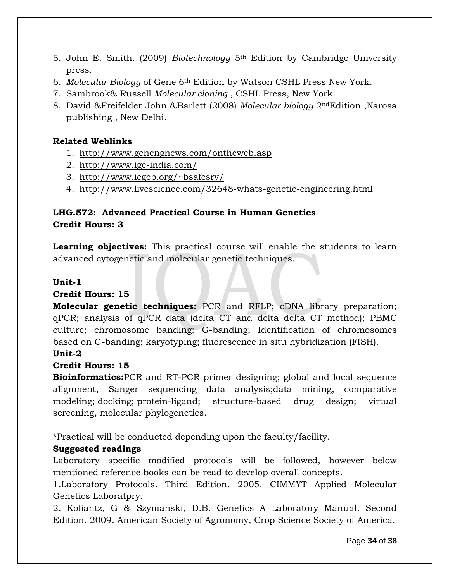- 5. John E. Smith. (2009) *Biotechnology* 5th Edition by Cambridge University press.
- 6. *Molecular Biology* of Gene 6th Edition by Watson CSHL Press New York.
- 7. Sambrook& Russell *Molecular cloning* , CSHL Press, New York.
- 8. David &Freifelder John &Barlett (2008) *Molecular biology* 2ndEdition ,Narosa publishing , New Delhi.

# **Related Weblinks**

- 1. <http://www.genengnews.com/ontheweb.asp>
- 2. <http://www.ige-india.com/>
- 3. <http://www.icgeb.org/~bsafesrv/>
- 4. <http://www.livescience.com/32648-whats-genetic-engineering.html>

# **LHG.572: Advanced Practical Course in Human Genetics Credit Hours: 3**

**Learning objectives:** This practical course will enable the students to learn advanced cytogenetic and molecular genetic techniques.

# **Unit-1**

# **Credit Hours: 15**

**Molecular genetic techniques:** PCR and RFLP; cDNA library preparation; qPCR; analysis of qPCR data (delta CT and delta delta CT method); PBMC culture; chromosome banding: G-banding; Identification of chromosomes based on G-banding; karyotyping; fluorescence in situ hybridization (FISH). **Unit-2** 

# **Credit Hours: 15**

**Bioinformatics:**PCR and RT-PCR primer designing; global and local sequence alignment, Sanger sequencing data analysis;data mining, comparative modeling; docking; protein-ligand; structure-based drug design; virtual screening, molecular phylogenetics.

\*Practical will be conducted depending upon the faculty/facility.

# **Suggested readings**

Laboratory specific modified protocols will be followed, however below mentioned reference books can be read to develop overall concepts.

1.Laboratory Protocols. Third Edition. 2005. CIMMYT Applied Molecular Genetics Laboratpry.

2. Koliantz, G & Szymanski, D.B. Genetics A Laboratory Manual. Second Edition. 2009. American Society of Agronomy, Crop Science Society of America.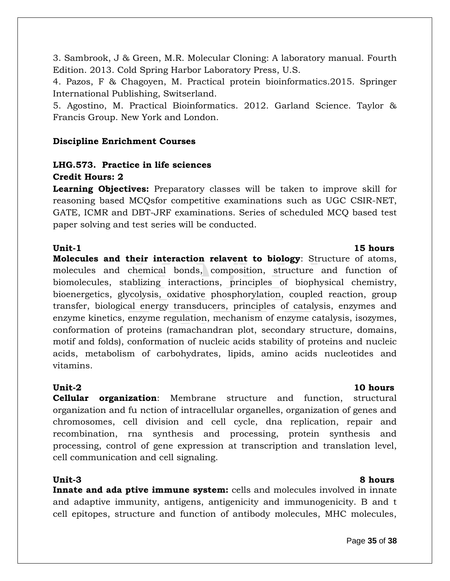3. Sambrook, J & Green, M.R. Molecular Cloning: A laboratory manual. Fourth Edition. 2013. Cold Spring Harbor Laboratory Press, U.S.

4. Pazos, F & Chagoyen, M. Practical protein bioinformatics.2015. Springer International Publishing, Switserland.

5. Agostino, M. Practical Bioinformatics. 2012. Garland Science. Taylor & Francis Group. New York and London.

## **Discipline Enrichment Courses**

# **LHG.573. Practice in life sciences Credit Hours: 2**

**Learning Objectives:** Preparatory classes will be taken to improve skill for reasoning based MCQsfor competitive examinations such as UGC CSIR-NET, GATE, ICMR and DBT-JRF examinations. Series of scheduled MCQ based test paper solving and test series will be conducted.

**Unit-1 15 hours Molecules and their interaction relavent to biology**: Structure of atoms, molecules and chemical bonds, composition, structure and function of biomolecules, stablizing interactions, principles of biophysical chemistry, bioenergetics, glycolysis, oxidative phosphorylation, coupled reaction, group transfer, biological energy transducers, principles of catalysis, enzymes and enzyme kinetics, enzyme regulation, mechanism of enzyme catalysis, isozymes, conformation of proteins (ramachandran plot, secondary structure, domains, motif and folds), conformation of nucleic acids stability of proteins and nucleic acids, metabolism of carbohydrates, lipids, amino acids nucleotides and vitamins.

**Cellular organization**: Membrane structure and function, structural organization and fu nction of intracellular organelles, organization of genes and chromosomes, cell division and cell cycle, dna replication, repair and recombination, rna synthesis and processing, protein synthesis and processing, control of gene expression at transcription and translation level, cell communication and cell signaling.

### **Unit-3 8 hours**

**Innate and ada ptive immune system:** cells and molecules involved in innate and adaptive immunity, antigens, antigenicity and immunogenicity. B and t cell epitopes, structure and function of antibody molecules, MHC molecules,

### **Unit-2 10 hours**

### Page **35** of **38**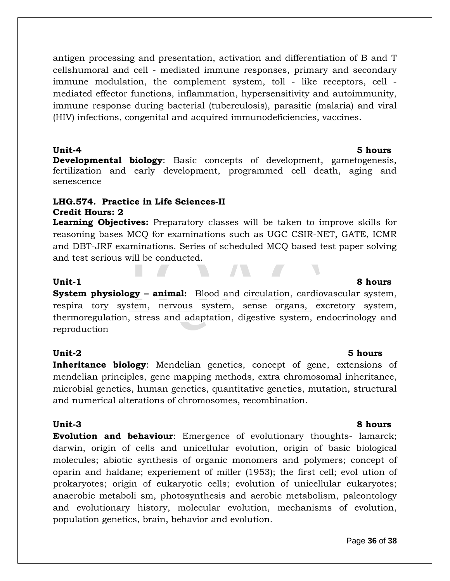antigen processing and presentation, activation and differentiation of B and T cellshumoral and cell - mediated immune responses, primary and secondary immune modulation, the complement system, toll - like receptors, cell mediated effector functions, inflammation, hypersensitivity and autoimmunity, immune response during bacterial (tuberculosis), parasitic (malaria) and viral (HIV) infections, congenital and acquired immunodeficiencies, vaccines.

### **Unit-4 5 hours**

**Developmental biology**: Basic concepts of development, gametogenesis, fertilization and early development, programmed cell death, aging and senescence

### **LHG.574. Practice in Life Sciences-II Credit Hours: 2**

**Learning Objectives:** Preparatory classes will be taken to improve skills for reasoning bases MCQ for examinations such as UGC CSIR-NET, GATE, ICMR and DBT-JRF examinations. Series of scheduled MCQ based test paper solving and test serious will be conducted.

**System physiology – animal:** Blood and circulation, cardiovascular system, respira tory system, nervous system, sense organs, excretory system, thermoregulation, stress and adaptation, digestive system, endocrinology and reproduction

### **Unit-2 5 hours**

**Inheritance biology**: Mendelian genetics, concept of gene, extensions of mendelian principles, gene mapping methods, extra chromosomal inheritance, microbial genetics, human genetics, quantitative genetics, mutation, structural and numerical alterations of chromosomes, recombination.

**Evolution and behaviour**: Emergence of evolutionary thoughts- lamarck; darwin, origin of cells and unicellular evolution, origin of basic biological molecules; abiotic synthesis of organic monomers and polymers; concept of oparin and haldane; experiement of miller (1953); the first cell; evol ution of prokaryotes; origin of eukaryotic cells; evolution of unicellular eukaryotes; anaerobic metaboli sm, photosynthesis and aerobic metabolism, paleontology and evolutionary history, molecular evolution, mechanisms of evolution, population genetics, brain, behavior and evolution.

### **Unit-1 8 hours**

## **Unit-3 8 hours**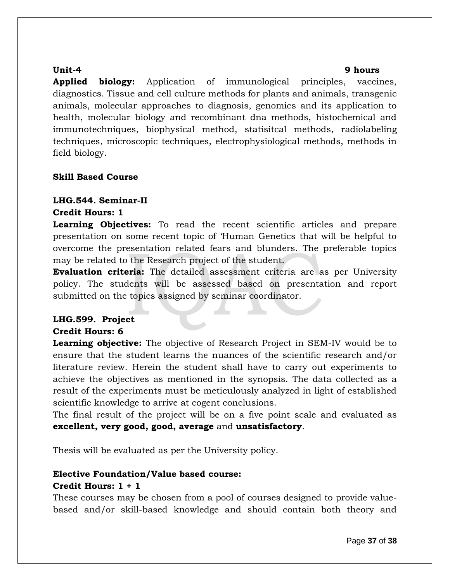### **Unit-4 9 hours**

**Applied biology:** Application of immunological principles, vaccines, diagnostics. Tissue and cell culture methods for plants and animals, transgenic animals, molecular approaches to diagnosis, genomics and its application to health, molecular biology and recombinant dna methods, histochemical and immunotechniques, biophysical method, statisitcal methods, radiolabeling techniques, microscopic techniques, electrophysiological methods, methods in field biology.

### **Skill Based Course**

# **LHG.544. Seminar-II**

### **Credit Hours: 1**

**Learning Objectives:** To read the recent scientific articles and prepare presentation on some recent topic of 'Human Genetics that will be helpful to overcome the presentation related fears and blunders. The preferable topics may be related to the Research project of the student.

**Evaluation criteria:** The detailed assessment criteria are as per University policy. The students will be assessed based on presentation and report submitted on the topics assigned by seminar coordinator.

# **LHG.599. Project**

### **Credit Hours: 6**

**Learning objective:** The objective of Research Project in SEM-IV would be to ensure that the student learns the nuances of the scientific research and/or literature review. Herein the student shall have to carry out experiments to achieve the objectives as mentioned in the synopsis. The data collected as a result of the experiments must be meticulously analyzed in light of established scientific knowledge to arrive at cogent conclusions.

The final result of the project will be on a five point scale and evaluated as **excellent, very good, good, average** and **unsatisfactory**.

Thesis will be evaluated as per the University policy.

# **Elective Foundation/Value based course:**

### **Credit Hours: 1 + 1**

These courses may be chosen from a pool of courses designed to provide valuebased and/or skill-based knowledge and should contain both theory and